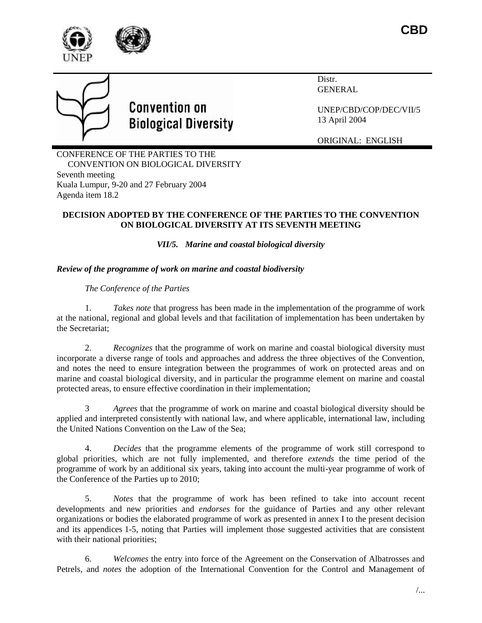



# **Convention on Biological Diversity**

Distr. GENERAL

UNEP/CBD/COP/DEC/VII/5 13 April 2004

ORIGINAL: ENGLISH

CONFERENCE OF THE PARTIES TO THE CONVENTION ON BIOLOGICAL DIVERSITY Seventh meeting Kuala Lumpur, 9-20 and 27 February 2004 Agenda item 18.2

# **DECISION ADOPTED BY THE CONFERENCE OF THE PARTIES TO THE CONVENTION ON BIOLOGICAL DIVERSITY AT ITS SEVENTH MEETING**

*VII/5. Marine and coastal biological diversity*

# *Review of the programme of work on marine and coastal biodiversity*

# *The Conference of the Parties*

1. *Takes note* that progress has been made in the implementation of the programme of work at the national, regional and global levels and that facilitation of implementation has been undertaken by the Secretariat;

2. *Recognizes* that the programme of work on marine and coastal biological diversity must incorporate a diverse range of tools and approaches and address the three objectives of the Convention, and notes the need to ensure integration between the programmes of work on protected areas and on marine and coastal biological diversity, and in particular the programme element on marine and coastal protected areas, to ensure effective coordination in their implementation;

3 *Agrees* that the programme of work on marine and coastal biological diversity should be applied and interpreted consistently with national law, and where applicable, international law, including the United Nations Convention on the Law of the Sea;

4. *Decides* that the programme elements of the programme of work still correspond to global priorities, which are not fully implemented, and therefore *extends* the time period of the programme of work by an additional six years, taking into account the multi-year programme of work of the Conference of the Parties up to 2010;

5. *Notes* that the programme of work has been refined to take into account recent developments and new priorities and *endorses* for the guidance of Parties and any other relevant organizations or bodies the elaborated programme of work as presented in annex I to the present decision and its appendices 1-5, noting that Parties will implement those suggested activities that are consistent with their national priorities;

6. *Welcomes* the entry into force of the Agreement on the Conservation of Albatrosses and Petrels, and *notes* the adoption of the International Convention for the Control and Management of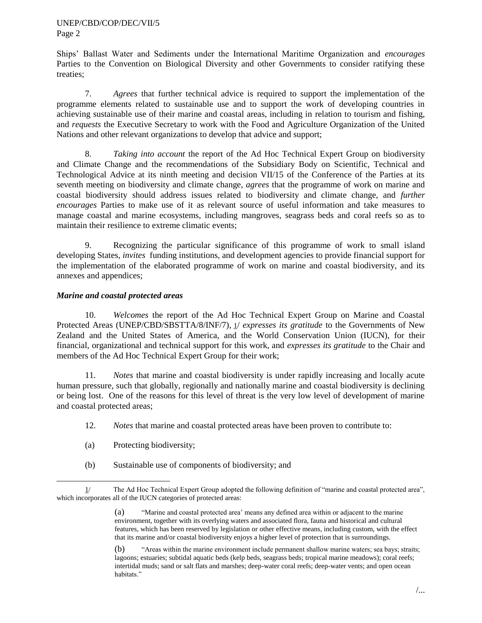Ships' Ballast Water and Sediments under the International Maritime Organization and *encourages* Parties to the Convention on Biological Diversity and other Governments to consider ratifying these treaties;

7. *Agrees* that further technical advice is required to support the implementation of the programme elements related to sustainable use and to support the work of developing countries in achieving sustainable use of their marine and coastal areas, including in relation to tourism and fishing, and *requests* the Executive Secretary to work with the Food and Agriculture Organization of the United Nations and other relevant organizations to develop that advice and support;

8. *Taking into account* the report of the Ad Hoc Technical Expert Group on biodiversity and Climate Change and the recommendations of the Subsidiary Body on Scientific, Technical and Technological Advice at its ninth meeting and decision VII/15 of the Conference of the Parties at its seventh meeting on biodiversity and climate change, *agrees* that the programme of work on marine and coastal biodiversity should address issues related to biodiversity and climate change, and *further encourages* Parties to make use of it as relevant source of useful information and take measures to manage coastal and marine ecosystems, including mangroves, seagrass beds and coral reefs so as to maintain their resilience to extreme climatic events;

9. Recognizing the particular significance of this programme of work to small island developing States, *invites* funding institutions, and development agencies to provide financial support for the implementation of the elaborated programme of work on marine and coastal biodiversity, and its annexes and appendices;

### *Marine and coastal protected areas*

10. *Welcomes* the report of the Ad Hoc Technical Expert Group on Marine and Coastal Protected Areas (UNEP/CBD/SBSTTA/8/INF/7), 1/ *expresses its gratitude* to the Governments of New Zealand and the United States of America, and the World Conservation Union (IUCN), for their financial, organizational and technical support for this work, and *expresses its gratitude* to the Chair and members of the Ad Hoc Technical Expert Group for their work;

11. *Notes* that marine and coastal biodiversity is under rapidly increasing and locally acute human pressure, such that globally, regionally and nationally marine and coastal biodiversity is declining or being lost. One of the reasons for this level of threat is the very low level of development of marine and coastal protected areas;

- 12. *Notes* that marine and coastal protected areas have been proven to contribute to:
- (a) Protecting biodiversity;

 $\overline{a}$ 

(b) Sustainable use of components of biodiversity; and

 $1/$  The Ad Hoc Technical Expert Group adopted the following definition of "marine and coastal protected area", which incorporates all of the IUCN categories of protected areas:

<sup>(</sup>a) ―Marine and coastal protected area' means any defined area within or adjacent to the marine environment, together with its overlying waters and associated flora, fauna and historical and cultural features, which has been reserved by legislation or other effective means, including custom, with the effect that its marine and/or coastal biodiversity enjoys a higher level of protection that is surroundings.

<sup>(</sup>b) <sup>"Areas</sup> within the marine environment include permanent shallow marine waters; sea bays; straits; lagoons; estuaries; subtidal aquatic beds (kelp beds, seagrass beds; tropical marine meadows); coral reefs; intertidal muds; sand or salt flats and marshes; deep-water coral reefs; deep-water vents; and open ocean habitats."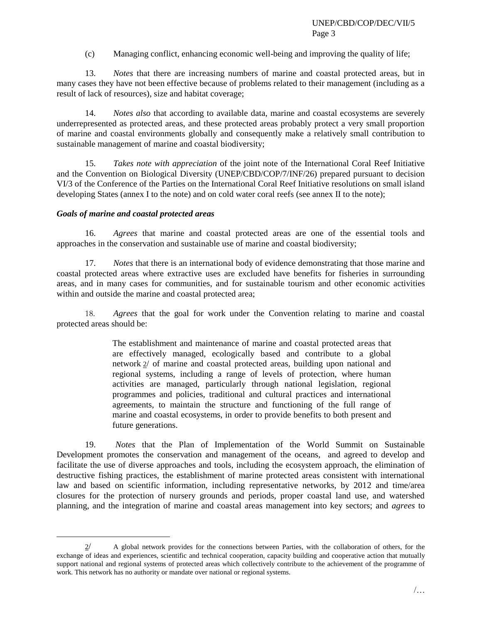(c) Managing conflict, enhancing economic well-being and improving the quality of life;

13. *Notes* that there are increasing numbers of marine and coastal protected areas, but in many cases they have not been effective because of problems related to their management (including as a result of lack of resources), size and habitat coverage;

14. *Notes also* that according to available data, marine and coastal ecosystems are severely underrepresented as protected areas, and these protected areas probably protect a very small proportion of marine and coastal environments globally and consequently make a relatively small contribution to sustainable management of marine and coastal biodiversity;

15. *Takes note with appreciation* of the joint note of the International Coral Reef Initiative and the Convention on Biological Diversity (UNEP/CBD/COP/7/INF/26) prepared pursuant to decision VI/3 of the Conference of the Parties on the International Coral Reef Initiative resolutions on small island developing States (annex I to the note) and on cold water coral reefs (see annex II to the note);

### *Goals of marine and coastal protected areas*

l

16. *Agrees* that marine and coastal protected areas are one of the essential tools and approaches in the conservation and sustainable use of marine and coastal biodiversity;

17. *Notes* that there is an international body of evidence demonstrating that those marine and coastal protected areas where extractive uses are excluded have benefits for fisheries in surrounding areas, and in many cases for communities, and for sustainable tourism and other economic activities within and outside the marine and coastal protected area;

18. *Agrees* that the goal for work under the Convention relating to marine and coastal protected areas should be:

> The establishment and maintenance of marine and coastal protected areas that are effectively managed, ecologically based and contribute to a global network 2/ of marine and coastal protected areas, building upon national and regional systems, including a range of levels of protection, where human activities are managed, particularly through national legislation, regional programmes and policies, traditional and cultural practices and international agreements, to maintain the structure and functioning of the full range of marine and coastal ecosystems, in order to provide benefits to both present and future generations.

19. *Notes* that the Plan of Implementation of the World Summit on Sustainable Development promotes the conservation and management of the oceans, and agreed to develop and facilitate the use of diverse approaches and tools, including the ecosystem approach, the elimination of destructive fishing practices, the establishment of marine protected areas consistent with international law and based on scientific information, including representative networks, by 2012 and time/area closures for the protection of nursery grounds and periods, proper coastal land use, and watershed planning, and the integration of marine and coastal areas management into key sectors; and *agrees* to

<sup>2</sup>/ A global network provides for the connections between Parties, with the collaboration of others, for the exchange of ideas and experiences, scientific and technical cooperation, capacity building and cooperative action that mutually support national and regional systems of protected areas which collectively contribute to the achievement of the programme of work. This network has no authority or mandate over national or regional systems.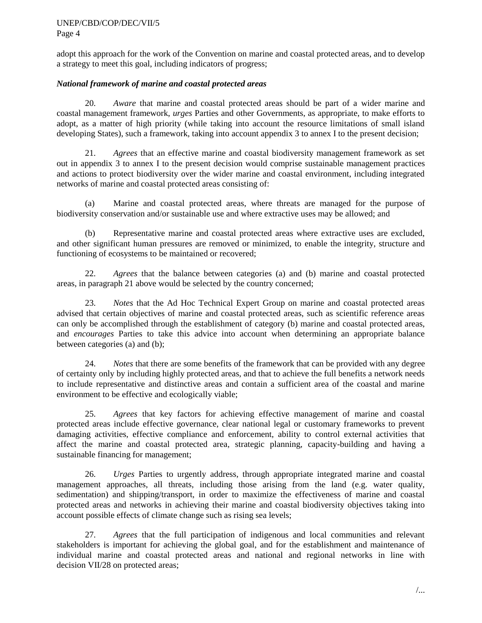adopt this approach for the work of the Convention on marine and coastal protected areas, and to develop a strategy to meet this goal, including indicators of progress;

# *National framework of marine and coastal protected areas*

20. *Aware* that marine and coastal protected areas should be part of a wider marine and coastal management framework, *urges* Parties and other Governments, as appropriate, to make efforts to adopt, as a matter of high priority (while taking into account the resource limitations of small island developing States), such a framework, taking into account appendix 3 to annex I to the present decision;

21. *Agrees* that an effective marine and coastal biodiversity management framework as set out in appendix 3 to annex I to the present decision would comprise sustainable management practices and actions to protect biodiversity over the wider marine and coastal environment, including integrated networks of marine and coastal protected areas consisting of:

(a) Marine and coastal protected areas, where threats are managed for the purpose of biodiversity conservation and/or sustainable use and where extractive uses may be allowed; and

(b) Representative marine and coastal protected areas where extractive uses are excluded, and other significant human pressures are removed or minimized, to enable the integrity, structure and functioning of ecosystems to be maintained or recovered;

22. *Agrees* that the balance between categories (a) and (b) marine and coastal protected areas, in paragraph 21 above would be selected by the country concerned;

23. *Notes* that the Ad Hoc Technical Expert Group on marine and coastal protected areas advised that certain objectives of marine and coastal protected areas, such as scientific reference areas can only be accomplished through the establishment of category (b) marine and coastal protected areas, and *encourages* Parties to take this advice into account when determining an appropriate balance between categories (a) and (b);

24. *Notes* that there are some benefits of the framework that can be provided with any degree of certainty only by including highly protected areas, and that to achieve the full benefits a network needs to include representative and distinctive areas and contain a sufficient area of the coastal and marine environment to be effective and ecologically viable;

25. *Agrees* that key factors for achieving effective management of marine and coastal protected areas include effective governance, clear national legal or customary frameworks to prevent damaging activities, effective compliance and enforcement, ability to control external activities that affect the marine and coastal protected area, strategic planning, capacity-building and having a sustainable financing for management;

26. *Urges* Parties to urgently address, through appropriate integrated marine and coastal management approaches, all threats, including those arising from the land (e.g. water quality, sedimentation) and shipping/transport, in order to maximize the effectiveness of marine and coastal protected areas and networks in achieving their marine and coastal biodiversity objectives taking into account possible effects of climate change such as rising sea levels;

27. *Agrees* that the full participation of indigenous and local communities and relevant stakeholders is important for achieving the global goal, and for the establishment and maintenance of individual marine and coastal protected areas and national and regional networks in line with decision VII/28 on protected areas;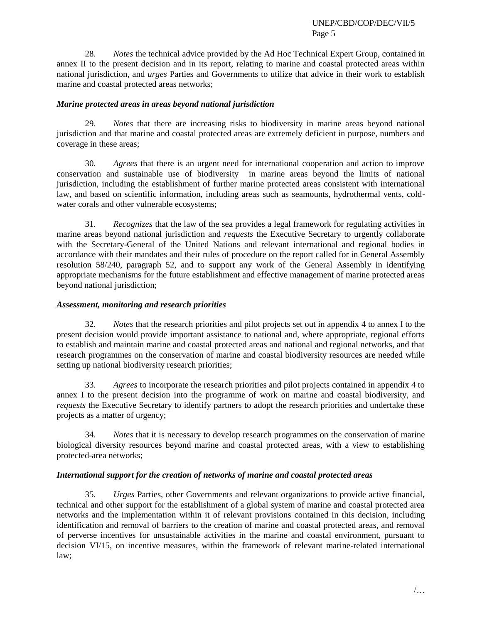28. *Notes* the technical advice provided by the Ad Hoc Technical Expert Group, contained in annex II to the present decision and in its report, relating to marine and coastal protected areas within national jurisdiction, and *urges* Parties and Governments to utilize that advice in their work to establish marine and coastal protected areas networks;

### *Marine protected areas in areas beyond national jurisdiction*

29. *Notes* that there are increasing risks to biodiversity in marine areas beyond national jurisdiction and that marine and coastal protected areas are extremely deficient in purpose, numbers and coverage in these areas;

30. *Agrees* that there is an urgent need for international cooperation and action to improve conservation and sustainable use of biodiversity in marine areas beyond the limits of national jurisdiction, including the establishment of further marine protected areas consistent with international law, and based on scientific information, including areas such as seamounts, hydrothermal vents, coldwater corals and other vulnerable ecosystems;

31. *Recognizes* that the law of the sea provides a legal framework for regulating activities in marine areas beyond national jurisdiction and *requests* the Executive Secretary to urgently collaborate with the Secretary-General of the United Nations and relevant international and regional bodies in accordance with their mandates and their rules of procedure on the report called for in General Assembly resolution 58/240, paragraph 52, and to support any work of the General Assembly in identifying appropriate mechanisms for the future establishment and effective management of marine protected areas beyond national jurisdiction;

# *Assessment, monitoring and research priorities*

32. *Notes* that the research priorities and pilot projects set out in appendix 4 to annex I to the present decision would provide important assistance to national and, where appropriate, regional efforts to establish and maintain marine and coastal protected areas and national and regional networks, and that research programmes on the conservation of marine and coastal biodiversity resources are needed while setting up national biodiversity research priorities;

33. *Agrees* to incorporate the research priorities and pilot projects contained in appendix 4 to annex I to the present decision into the programme of work on marine and coastal biodiversity, and *requests* the Executive Secretary to identify partners to adopt the research priorities and undertake these projects as a matter of urgency;

34. *Notes* that it is necessary to develop research programmes on the conservation of marine biological diversity resources beyond marine and coastal protected areas, with a view to establishing protected-area networks;

# *International support for the creation of networks of marine and coastal protected areas*

35. *Urges* Parties, other Governments and relevant organizations to provide active financial, technical and other support for the establishment of a global system of marine and coastal protected area networks and the implementation within it of relevant provisions contained in this decision, including identification and removal of barriers to the creation of marine and coastal protected areas, and removal of perverse incentives for unsustainable activities in the marine and coastal environment, pursuant to decision VI/15, on incentive measures, within the framework of relevant marine-related international law;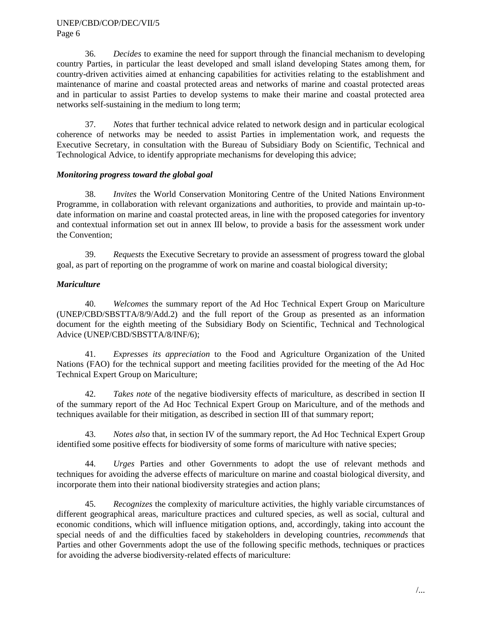36. *Decides* to examine the need for support through the financial mechanism to developing country Parties, in particular the least developed and small island developing States among them, for country-driven activities aimed at enhancing capabilities for activities relating to the establishment and maintenance of marine and coastal protected areas and networks of marine and coastal protected areas and in particular to assist Parties to develop systems to make their marine and coastal protected area networks self-sustaining in the medium to long term;

37. *Notes* that further technical advice related to network design and in particular ecological coherence of networks may be needed to assist Parties in implementation work, and requests the Executive Secretary, in consultation with the Bureau of Subsidiary Body on Scientific, Technical and Technological Advice, to identify appropriate mechanisms for developing this advice;

# *Monitoring progress toward the global goal*

38. *Invites* the World Conservation Monitoring Centre of the United Nations Environment Programme, in collaboration with relevant organizations and authorities, to provide and maintain up-todate information on marine and coastal protected areas, in line with the proposed categories for inventory and contextual information set out in annex III below, to provide a basis for the assessment work under the Convention;

39. *Requests* the Executive Secretary to provide an assessment of progress toward the global goal, as part of reporting on the programme of work on marine and coastal biological diversity;

# *Mariculture*

40. *Welcomes* the summary report of the Ad Hoc Technical Expert Group on Mariculture (UNEP/CBD/SBSTTA/8/9/Add.2) and the full report of the Group as presented as an information document for the eighth meeting of the Subsidiary Body on Scientific, Technical and Technological Advice (UNEP/CBD/SBSTTA/8/INF/6);

41. *Expresses its appreciation* to the Food and Agriculture Organization of the United Nations (FAO) for the technical support and meeting facilities provided for the meeting of the Ad Hoc Technical Expert Group on Mariculture;

42. *Takes note* of the negative biodiversity effects of mariculture, as described in section II of the summary report of the Ad Hoc Technical Expert Group on Mariculture, and of the methods and techniques available for their mitigation, as described in section III of that summary report;

43. *Notes also* that, in section IV of the summary report, the Ad Hoc Technical Expert Group identified some positive effects for biodiversity of some forms of mariculture with native species;

44. *Urges* Parties and other Governments to adopt the use of relevant methods and techniques for avoiding the adverse effects of mariculture on marine and coastal biological diversity, and incorporate them into their national biodiversity strategies and action plans;

45. *Recognizes* the complexity of mariculture activities, the highly variable circumstances of different geographical areas, mariculture practices and cultured species, as well as social, cultural and economic conditions, which will influence mitigation options, and, accordingly, taking into account the special needs of and the difficulties faced by stakeholders in developing countries, *recommends* that Parties and other Governments adopt the use of the following specific methods, techniques or practices for avoiding the adverse biodiversity-related effects of mariculture: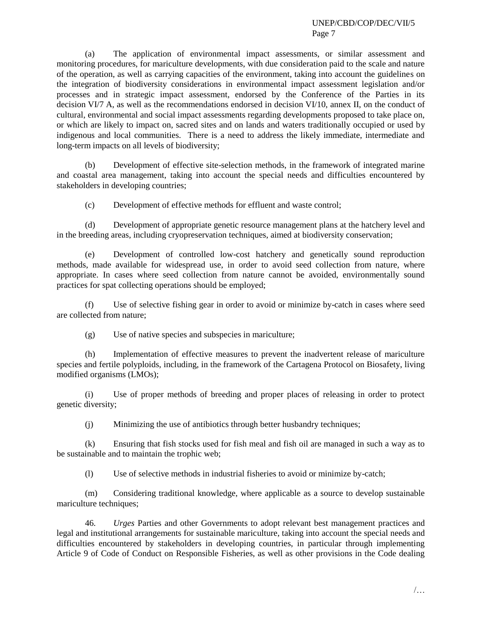(a) The application of environmental impact assessments, or similar assessment and monitoring procedures, for mariculture developments, with due consideration paid to the scale and nature of the operation, as well as carrying capacities of the environment, taking into account the guidelines on the integration of biodiversity considerations in environmental impact assessment legislation and/or processes and in strategic impact assessment, endorsed by the Conference of the Parties in its decision VI/7 A, as well as the recommendations endorsed in decision VI/10, annex II, on the conduct of cultural, environmental and social impact assessments regarding developments proposed to take place on, or which are likely to impact on, sacred sites and on lands and waters traditionally occupied or used by indigenous and local communities. There is a need to address the likely immediate, intermediate and long-term impacts on all levels of biodiversity;

(b) Development of effective site-selection methods, in the framework of integrated marine and coastal area management, taking into account the special needs and difficulties encountered by stakeholders in developing countries;

(c) Development of effective methods for effluent and waste control;

(d) Development of appropriate genetic resource management plans at the hatchery level and in the breeding areas, including cryopreservation techniques, aimed at biodiversity conservation;

(e) Development of controlled low-cost hatchery and genetically sound reproduction methods, made available for widespread use, in order to avoid seed collection from nature, where appropriate. In cases where seed collection from nature cannot be avoided, environmentally sound practices for spat collecting operations should be employed;

(f) Use of selective fishing gear in order to avoid or minimize by-catch in cases where seed are collected from nature;

(g) Use of native species and subspecies in mariculture;

(h) Implementation of effective measures to prevent the inadvertent release of mariculture species and fertile polyploids, including, in the framework of the Cartagena Protocol on Biosafety, living modified organisms (LMOs);

(i) Use of proper methods of breeding and proper places of releasing in order to protect genetic diversity;

(j) Minimizing the use of antibiotics through better husbandry techniques;

(k) Ensuring that fish stocks used for fish meal and fish oil are managed in such a way as to be sustainable and to maintain the trophic web;

(l) Use of selective methods in industrial fisheries to avoid or minimize by-catch;

(m) Considering traditional knowledge, where applicable as a source to develop sustainable mariculture techniques;

46. *Urges* Parties and other Governments to adopt relevant best management practices and legal and institutional arrangements for sustainable mariculture, taking into account the special needs and difficulties encountered by stakeholders in developing countries, in particular through implementing Article 9 of Code of Conduct on Responsible Fisheries, as well as other provisions in the Code dealing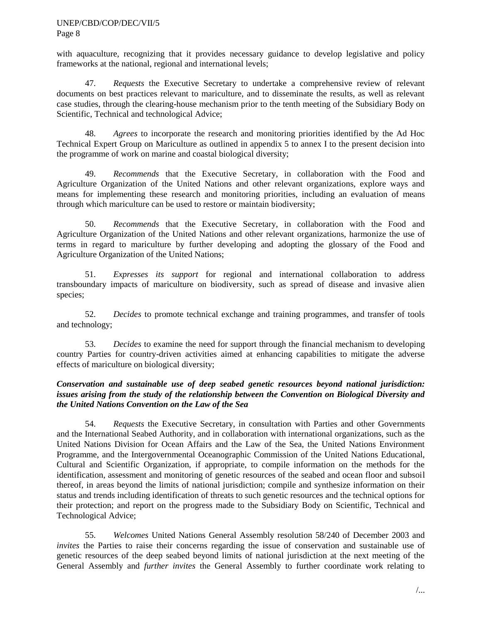with aquaculture, recognizing that it provides necessary guidance to develop legislative and policy frameworks at the national, regional and international levels;

47. *Requests* the Executive Secretary to undertake a comprehensive review of relevant documents on best practices relevant to mariculture, and to disseminate the results, as well as relevant case studies, through the clearing-house mechanism prior to the tenth meeting of the Subsidiary Body on Scientific, Technical and technological Advice;

48. *Agrees* to incorporate the research and monitoring priorities identified by the Ad Hoc Technical Expert Group on Mariculture as outlined in appendix 5 to annex I to the present decision into the programme of work on marine and coastal biological diversity;

49. *Recommends* that the Executive Secretary, in collaboration with the Food and Agriculture Organization of the United Nations and other relevant organizations, explore ways and means for implementing these research and monitoring priorities, including an evaluation of means through which mariculture can be used to restore or maintain biodiversity;

50. *Recommends* that the Executive Secretary, in collaboration with the Food and Agriculture Organization of the United Nations and other relevant organizations, harmonize the use of terms in regard to mariculture by further developing and adopting the glossary of the Food and Agriculture Organization of the United Nations;

51. *Expresses its support* for regional and international collaboration to address transboundary impacts of mariculture on biodiversity, such as spread of disease and invasive alien species;

52. *Decides* to promote technical exchange and training programmes, and transfer of tools and technology;

53. *Decides* to examine the need for support through the financial mechanism to developing country Parties for country-driven activities aimed at enhancing capabilities to mitigate the adverse effects of mariculture on biological diversity;

### *Conservation and sustainable use of deep seabed genetic resources beyond national jurisdiction: issues arising from the study of the relationship between the Convention on Biological Diversity and the United Nations Convention on the Law of the Sea*

54. *Requests* the Executive Secretary, in consultation with Parties and other Governments and the International Seabed Authority, and in collaboration with international organizations, such as the United Nations Division for Ocean Affairs and the Law of the Sea, the United Nations Environment Programme, and the Intergovernmental Oceanographic Commission of the United Nations Educational, Cultural and Scientific Organization, if appropriate, to compile information on the methods for the identification, assessment and monitoring of genetic resources of the seabed and ocean floor and subsoil thereof, in areas beyond the limits of national jurisdiction; compile and synthesize information on their status and trends including identification of threats to such genetic resources and the technical options for their protection; and report on the progress made to the Subsidiary Body on Scientific, Technical and Technological Advice;

55. *Welcomes* United Nations General Assembly resolution 58/240 of December 2003 and *invites* the Parties to raise their concerns regarding the issue of conservation and sustainable use of genetic resources of the deep seabed beyond limits of national jurisdiction at the next meeting of the General Assembly and *further invites* the General Assembly to further coordinate work relating to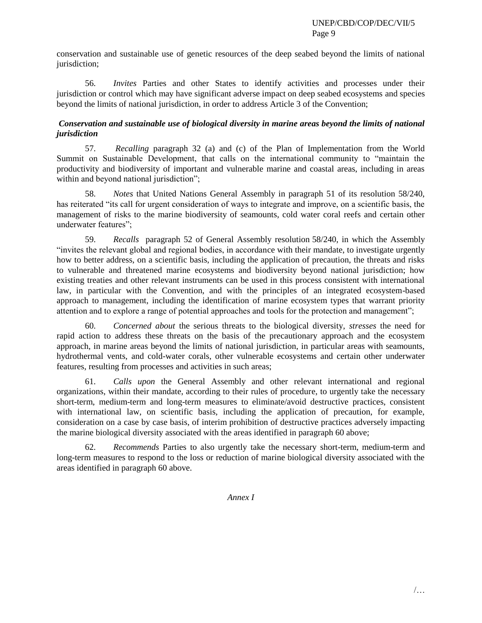conservation and sustainable use of genetic resources of the deep seabed beyond the limits of national jurisdiction;

56. *Invites* Parties and other States to identify activities and processes under their jurisdiction or control which may have significant adverse impact on deep seabed ecosystems and species beyond the limits of national jurisdiction, in order to address Article 3 of the Convention;

# *Conservation and sustainable use of biological diversity in marine areas beyond the limits of national jurisdiction*

57. *Recalling* paragraph 32 (a) and (c) of the Plan of Implementation from the World Summit on Sustainable Development, that calls on the international community to "maintain the productivity and biodiversity of important and vulnerable marine and coastal areas, including in areas within and beyond national jurisdiction";

58. *Notes* that United Nations General Assembly in paragraph 51 of its resolution 58/240, has reiterated "its call for urgent consideration of ways to integrate and improve, on a scientific basis, the management of risks to the marine biodiversity of seamounts, cold water coral reefs and certain other underwater features";

59. *Recalls* paragraph 52 of General Assembly resolution 58/240, in which the Assembly ―invites the relevant global and regional bodies, in accordance with their mandate, to investigate urgently how to better address, on a scientific basis, including the application of precaution, the threats and risks to vulnerable and threatened marine ecosystems and biodiversity beyond national jurisdiction; how existing treaties and other relevant instruments can be used in this process consistent with international law, in particular with the Convention, and with the principles of an integrated ecosystem-based approach to management, including the identification of marine ecosystem types that warrant priority attention and to explore a range of potential approaches and tools for the protection and management";

60. *Concerned about* the serious threats to the biological diversity, *stresses* the need for rapid action to address these threats on the basis of the precautionary approach and the ecosystem approach, in marine areas beyond the limits of national jurisdiction, in particular areas with seamounts, hydrothermal vents, and cold-water corals, other vulnerable ecosystems and certain other underwater features, resulting from processes and activities in such areas;

61. *Calls upon* the General Assembly and other relevant international and regional organizations, within their mandate, according to their rules of procedure, to urgently take the necessary short-term, medium-term and long-term measures to eliminate/avoid destructive practices, consistent with international law, on scientific basis, including the application of precaution, for example, consideration on a case by case basis, of interim prohibition of destructive practices adversely impacting the marine biological diversity associated with the areas identified in paragraph 60 above;

62. *Recommends* Parties to also urgently take the necessary short-term, medium-term and long-term measures to respond to the loss or reduction of marine biological diversity associated with the areas identified in paragraph 60 above.

*Annex I*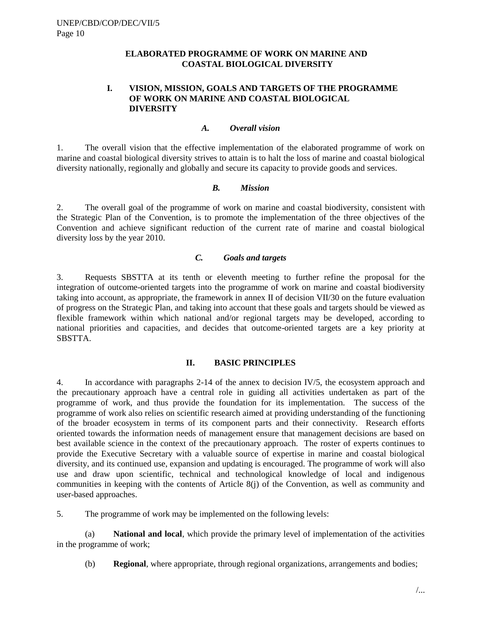#### **ELABORATED PROGRAMME OF WORK ON MARINE AND COASTAL BIOLOGICAL DIVERSITY**

### **I. VISION, MISSION, GOALS AND TARGETS OF THE PROGRAMME OF WORK ON MARINE AND COASTAL BIOLOGICAL DIVERSITY**

#### *A. Overall vision*

1. The overall vision that the effective implementation of the elaborated programme of work on marine and coastal biological diversity strives to attain is to halt the loss of marine and coastal biological diversity nationally, regionally and globally and secure its capacity to provide goods and services.

#### *B. Mission*

2. The overall goal of the programme of work on marine and coastal biodiversity, consistent with the Strategic Plan of the Convention, is to promote the implementation of the three objectives of the Convention and achieve significant reduction of the current rate of marine and coastal biological diversity loss by the year 2010.

### *C. Goals and targets*

3. Requests SBSTTA at its tenth or eleventh meeting to further refine the proposal for the integration of outcome-oriented targets into the programme of work on marine and coastal biodiversity taking into account, as appropriate, the framework in annex II of decision VII/30 on the future evaluation of progress on the Strategic Plan, and taking into account that these goals and targets should be viewed as flexible framework within which national and/or regional targets may be developed, according to national priorities and capacities, and decides that outcome-oriented targets are a key priority at SBSTTA.

### **II. BASIC PRINCIPLES**

4. In accordance with paragraphs 2-14 of the annex to decision IV/5, the ecosystem approach and the precautionary approach have a central role in guiding all activities undertaken as part of the programme of work, and thus provide the foundation for its implementation. The success of the programme of work also relies on scientific research aimed at providing understanding of the functioning of the broader ecosystem in terms of its component parts and their connectivity. Research efforts oriented towards the information needs of management ensure that management decisions are based on best available science in the context of the precautionary approach. The roster of experts continues to provide the Executive Secretary with a valuable source of expertise in marine and coastal biological diversity, and its continued use, expansion and updating is encouraged. The programme of work will also use and draw upon scientific, technical and technological knowledge of local and indigenous communities in keeping with the contents of Article 8(j) of the Convention, as well as community and user-based approaches.

5. The programme of work may be implemented on the following levels:

(a) **National and local**, which provide the primary level of implementation of the activities in the programme of work;

(b) **Regional**, where appropriate, through regional organizations, arrangements and bodies;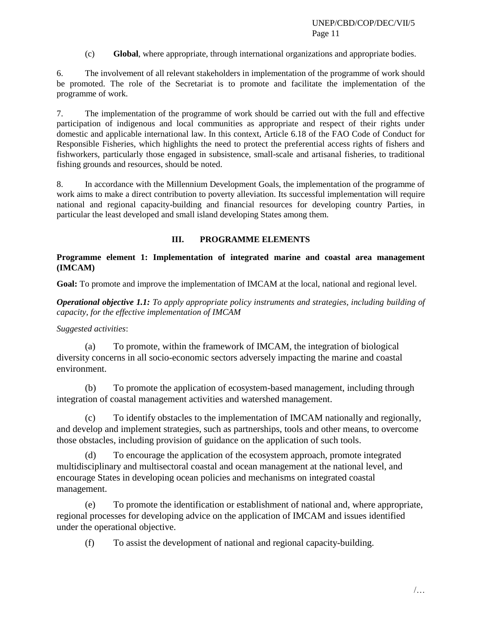(c) **Global**, where appropriate, through international organizations and appropriate bodies.

6. The involvement of all relevant stakeholders in implementation of the programme of work should be promoted. The role of the Secretariat is to promote and facilitate the implementation of the programme of work.

7. The implementation of the programme of work should be carried out with the full and effective participation of indigenous and local communities as appropriate and respect of their rights under domestic and applicable international law. In this context, Article 6.18 of the FAO Code of Conduct for Responsible Fisheries, which highlights the need to protect the preferential access rights of fishers and fishworkers, particularly those engaged in subsistence, small-scale and artisanal fisheries, to traditional fishing grounds and resources, should be noted.

8. In accordance with the Millennium Development Goals, the implementation of the programme of work aims to make a direct contribution to poverty alleviation. Its successful implementation will require national and regional capacity-building and financial resources for developing country Parties, in particular the least developed and small island developing States among them.

### **III. PROGRAMME ELEMENTS**

### **Programme element 1: Implementation of integrated marine and coastal area management (IMCAM)**

**Goal:** To promote and improve the implementation of IMCAM at the local, national and regional level.

*Operational objective 1.1: To apply appropriate policy instruments and strategies, including building of capacity, for the effective implementation of IMCAM* 

### *Suggested activities*:

(a) To promote, within the framework of IMCAM, the integration of biological diversity concerns in all socio-economic sectors adversely impacting the marine and coastal environment.

(b) To promote the application of ecosystem-based management, including through integration of coastal management activities and watershed management.

(c) To identify obstacles to the implementation of IMCAM nationally and regionally, and develop and implement strategies, such as partnerships, tools and other means, to overcome those obstacles, including provision of guidance on the application of such tools.

(d) To encourage the application of the ecosystem approach, promote integrated multidisciplinary and multisectoral coastal and ocean management at the national level, and encourage States in developing ocean policies and mechanisms on integrated coastal management.

(e) To promote the identification or establishment of national and, where appropriate, regional processes for developing advice on the application of IMCAM and issues identified under the operational objective.

(f) To assist the development of national and regional capacity-building.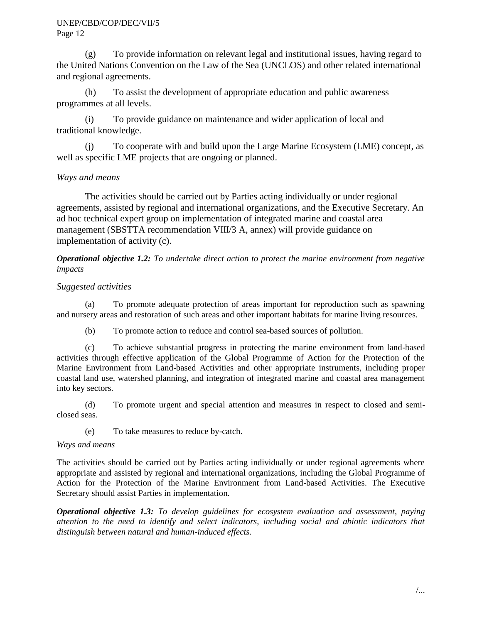(g) To provide information on relevant legal and institutional issues, having regard to the United Nations Convention on the Law of the Sea (UNCLOS) and other related international and regional agreements.

(h) To assist the development of appropriate education and public awareness programmes at all levels.

(i) To provide guidance on maintenance and wider application of local and traditional knowledge.

(j) To cooperate with and build upon the Large Marine Ecosystem (LME) concept, as well as specific LME projects that are ongoing or planned.

# *Ways and means*

The activities should be carried out by Parties acting individually or under regional agreements, assisted by regional and international organizations, and the Executive Secretary. An ad hoc technical expert group on implementation of integrated marine and coastal area management (SBSTTA recommendation VIII/3 A, annex) will provide guidance on implementation of activity (c).

*Operational objective 1.2: To undertake direct action to protect the marine environment from negative impacts*

# *Suggested activities*

(a) To promote adequate protection of areas important for reproduction such as spawning and nursery areas and restoration of such areas and other important habitats for marine living resources.

(b) To promote action to reduce and control sea-based sources of pollution.

(c) To achieve substantial progress in protecting the marine environment from land-based activities through effective application of the Global Programme of Action for the Protection of the Marine Environment from Land-based Activities and other appropriate instruments, including proper coastal land use, watershed planning, and integration of integrated marine and coastal area management into key sectors.

(d) To promote urgent and special attention and measures in respect to closed and semiclosed seas.

(e) To take measures to reduce by-catch.

# *Ways and means*

The activities should be carried out by Parties acting individually or under regional agreements where appropriate and assisted by regional and international organizations, including the Global Programme of Action for the Protection of the Marine Environment from Land-based Activities. The Executive Secretary should assist Parties in implementation.

*Operational objective 1.3: To develop guidelines for ecosystem evaluation and assessment, paying attention to the need to identify and select indicators, including social and abiotic indicators that distinguish between natural and human-induced effects.*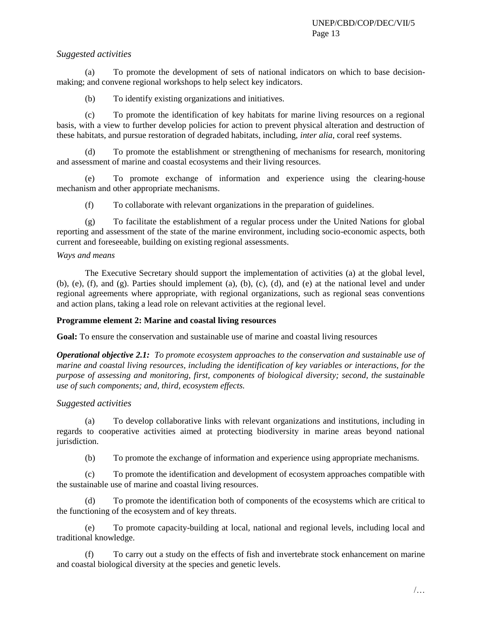# *Suggested activities*

(a) To promote the development of sets of national indicators on which to base decisionmaking; and convene regional workshops to help select key indicators.

(b) To identify existing organizations and initiatives.

(c) To promote the identification of key habitats for marine living resources on a regional basis, with a view to further develop policies for action to prevent physical alteration and destruction of these habitats, and pursue restoration of degraded habitats, including, *inter alia*, coral reef systems.

(d) To promote the establishment or strengthening of mechanisms for research, monitoring and assessment of marine and coastal ecosystems and their living resources.

(e) To promote exchange of information and experience using the clearing-house mechanism and other appropriate mechanisms.

(f) To collaborate with relevant organizations in the preparation of guidelines.

(g) To facilitate the establishment of a regular process under the United Nations for global reporting and assessment of the state of the marine environment, including socio-economic aspects, both current and foreseeable, building on existing regional assessments.

### *Ways and means*

The Executive Secretary should support the implementation of activities (a) at the global level, (b), (e), (f), and (g). Parties should implement (a), (b), (c), (d), and (e) at the national level and under regional agreements where appropriate, with regional organizations, such as regional seas conventions and action plans, taking a lead role on relevant activities at the regional level.

### **Programme element 2: Marine and coastal living resources**

**Goal:** To ensure the conservation and sustainable use of marine and coastal living resources

*Operational objective 2.1: To promote ecosystem approaches to the conservation and sustainable use of marine and coastal living resources, including the identification of key variables or interactions, for the purpose of assessing and monitoring, first, components of biological diversity; second, the sustainable use of such components; and, third, ecosystem effects.*

# *Suggested activities*

(a) To develop collaborative links with relevant organizations and institutions, including in regards to cooperative activities aimed at protecting biodiversity in marine areas beyond national jurisdiction.

(b) To promote the exchange of information and experience using appropriate mechanisms.

(c) To promote the identification and development of ecosystem approaches compatible with the sustainable use of marine and coastal living resources.

(d) To promote the identification both of components of the ecosystems which are critical to the functioning of the ecosystem and of key threats.

(e) To promote capacity-building at local, national and regional levels, including local and traditional knowledge.

(f) To carry out a study on the effects of fish and invertebrate stock enhancement on marine and coastal biological diversity at the species and genetic levels.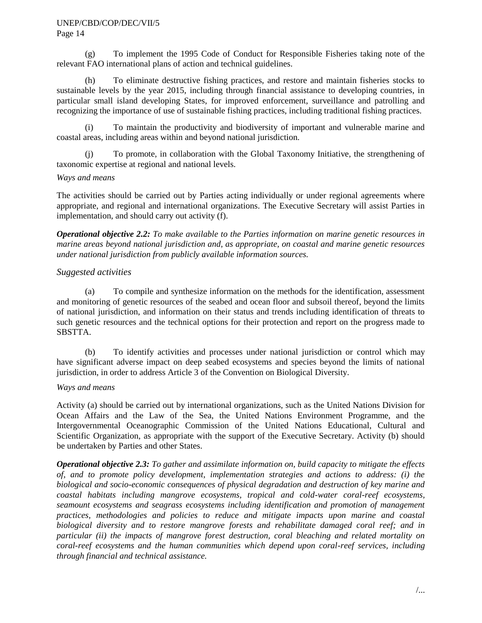(g) To implement the 1995 Code of Conduct for Responsible Fisheries taking note of the relevant FAO international plans of action and technical guidelines.

(h) To eliminate destructive fishing practices, and restore and maintain fisheries stocks to sustainable levels by the year 2015, including through financial assistance to developing countries, in particular small island developing States, for improved enforcement, surveillance and patrolling and recognizing the importance of use of sustainable fishing practices, including traditional fishing practices.

(i) To maintain the productivity and biodiversity of important and vulnerable marine and coastal areas, including areas within and beyond national jurisdiction.

(j) To promote, in collaboration with the Global Taxonomy Initiative, the strengthening of taxonomic expertise at regional and national levels.

### *Ways and means*

The activities should be carried out by Parties acting individually or under regional agreements where appropriate, and regional and international organizations. The Executive Secretary will assist Parties in implementation, and should carry out activity (f).

*Operational objective 2.2: To make available to the Parties information on marine genetic resources in marine areas beyond national jurisdiction and, as appropriate, on coastal and marine genetic resources under national jurisdiction from publicly available information sources.*

# *Suggested activities*

(a) To compile and synthesize information on the methods for the identification, assessment and monitoring of genetic resources of the seabed and ocean floor and subsoil thereof, beyond the limits of national jurisdiction, and information on their status and trends including identification of threats to such genetic resources and the technical options for their protection and report on the progress made to SBSTTA.

(b) To identify activities and processes under national jurisdiction or control which may have significant adverse impact on deep seabed ecosystems and species beyond the limits of national jurisdiction, in order to address Article 3 of the Convention on Biological Diversity.

# *Ways and means*

Activity (a) should be carried out by international organizations, such as the United Nations Division for Ocean Affairs and the Law of the Sea, the United Nations Environment Programme, and the Intergovernmental Oceanographic Commission of the United Nations Educational, Cultural and Scientific Organization, as appropriate with the support of the Executive Secretary. Activity (b) should be undertaken by Parties and other States.

*Operational objective 2.3: To gather and assimilate information on, build capacity to mitigate the effects of, and to promote policy development, implementation strategies and actions to address: (i) the biological and socio-economic consequences of physical degradation and destruction of key marine and coastal habitats including mangrove ecosystems, tropical and cold-water coral-reef ecosystems, seamount ecosystems and seagrass ecosystems including identification and promotion of management practices, methodologies and policies to reduce and mitigate impacts upon marine and coastal biological diversity and to restore mangrove forests and rehabilitate damaged coral reef; and in particular (ii) the impacts of mangrove forest destruction, coral bleaching and related mortality on coral-reef ecosystems and the human communities which depend upon coral-reef services, including through financial and technical assistance.*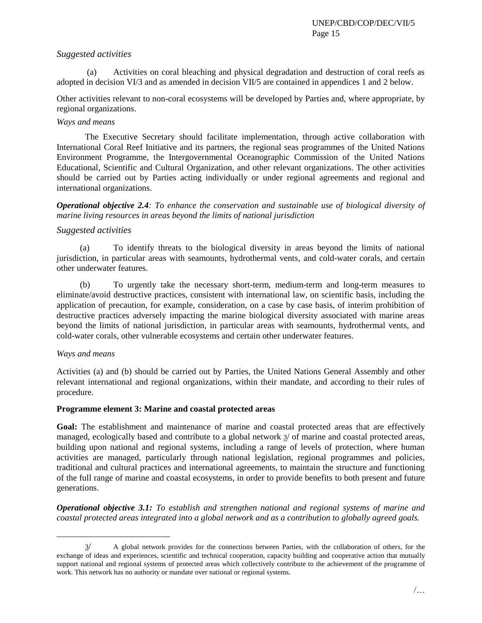# *Suggested activities*

(a) Activities on coral bleaching and physical degradation and destruction of coral reefs as adopted in decision VI/3 and as amended in decision VII/5 are contained in appendices 1 and 2 below.

Other activities relevant to non-coral ecosystems will be developed by Parties and, where appropriate, by regional organizations.

### *Ways and means*

The Executive Secretary should facilitate implementation, through active collaboration with International Coral Reef Initiative and its partners, the regional seas programmes of the United Nations Environment Programme, the Intergovernmental Oceanographic Commission of the United Nations Educational, Scientific and Cultural Organization, and other relevant organizations. The other activities should be carried out by Parties acting individually or under regional agreements and regional and international organizations.

*Operational objective 2.4: To enhance the conservation and sustainable use of biological diversity of marine living resources in areas beyond the limits of national jurisdiction*

# *Suggested activities*

(a) To identify threats to the biological diversity in areas beyond the limits of national jurisdiction, in particular areas with seamounts, hydrothermal vents, and cold-water corals, and certain other underwater features.

(b) To urgently take the necessary short-term, medium-term and long-term measures to eliminate/avoid destructive practices, consistent with international law, on scientific basis, including the application of precaution, for example, consideration, on a case by case basis, of interim prohibition of destructive practices adversely impacting the marine biological diversity associated with marine areas beyond the limits of national jurisdiction, in particular areas with seamounts, hydrothermal vents, and cold-water corals, other vulnerable ecosystems and certain other underwater features.

### *Ways and means*

l

Activities (a) and (b) should be carried out by Parties, the United Nations General Assembly and other relevant international and regional organizations, within their mandate, and according to their rules of procedure.

# **Programme element 3: Marine and coastal protected areas**

**Goal:** The establishment and maintenance of marine and coastal protected areas that are effectively managed, ecologically based and contribute to a global network 3/ of marine and coastal protected areas, building upon national and regional systems, including a range of levels of protection, where human activities are managed, particularly through national legislation, regional programmes and policies, traditional and cultural practices and international agreements, to maintain the structure and functioning of the full range of marine and coastal ecosystems, in order to provide benefits to both present and future generations.

*Operational objective 3.1: To establish and strengthen national and regional systems of marine and coastal protected areas integrated into a global network and as a contribution to globally agreed goals.*

<sup>3</sup>/ A global network provides for the connections between Parties, with the collaboration of others, for the exchange of ideas and experiences, scientific and technical cooperation, capacity building and cooperative action that mutually support national and regional systems of protected areas which collectively contribute to the achievement of the programme of work. This network has no authority or mandate over national or regional systems.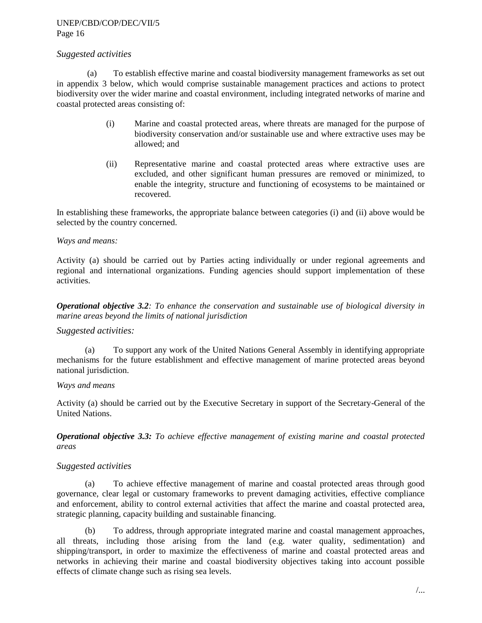### *Suggested activities*

(a) To establish effective marine and coastal biodiversity management frameworks as set out in appendix 3 below, which would comprise sustainable management practices and actions to protect biodiversity over the wider marine and coastal environment, including integrated networks of marine and coastal protected areas consisting of:

- (i) Marine and coastal protected areas, where threats are managed for the purpose of biodiversity conservation and/or sustainable use and where extractive uses may be allowed; and
- (ii) Representative marine and coastal protected areas where extractive uses are excluded, and other significant human pressures are removed or minimized, to enable the integrity, structure and functioning of ecosystems to be maintained or recovered.

In establishing these frameworks, the appropriate balance between categories (i) and (ii) above would be selected by the country concerned.

### *Ways and means:*

Activity (a) should be carried out by Parties acting individually or under regional agreements and regional and international organizations. Funding agencies should support implementation of these activities.

*Operational objective 3.2: To enhance the conservation and sustainable use of biological diversity in marine areas beyond the limits of national jurisdiction*

### *Suggested activities:*

(a) To support any work of the United Nations General Assembly in identifying appropriate mechanisms for the future establishment and effective management of marine protected areas beyond national jurisdiction.

#### *Ways and means*

Activity (a) should be carried out by the Executive Secretary in support of the Secretary-General of the United Nations.

*Operational objective 3.3: To achieve effective management of existing marine and coastal protected areas*

### *Suggested activities*

(a) To achieve effective management of marine and coastal protected areas through good governance, clear legal or customary frameworks to prevent damaging activities, effective compliance and enforcement, ability to control external activities that affect the marine and coastal protected area, strategic planning, capacity building and sustainable financing.

(b) To address, through appropriate integrated marine and coastal management approaches, all threats, including those arising from the land (e.g. water quality, sedimentation) and shipping/transport, in order to maximize the effectiveness of marine and coastal protected areas and networks in achieving their marine and coastal biodiversity objectives taking into account possible effects of climate change such as rising sea levels.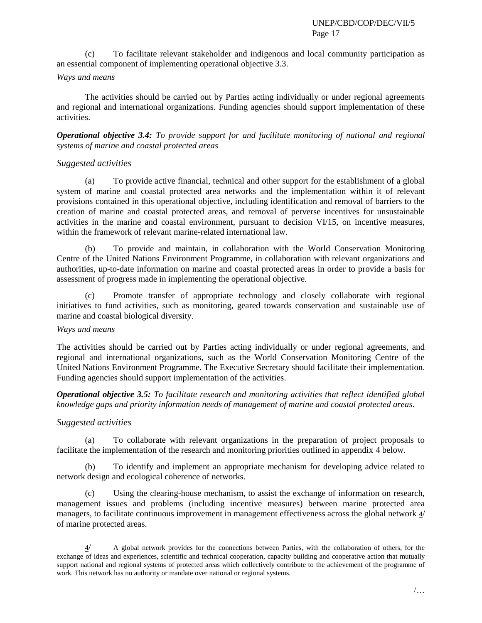(c) To facilitate relevant stakeholder and indigenous and local community participation as an essential component of implementing operational objective 3.3.

### *Ways and means*

The activities should be carried out by Parties acting individually or under regional agreements and regional and international organizations. Funding agencies should support implementation of these activities.

*Operational objective 3.4: To provide support for and facilitate monitoring of national and regional systems of marine and coastal protected areas* 

# *Suggested activities*

(a) To provide active financial, technical and other support for the establishment of a global system of marine and coastal protected area networks and the implementation within it of relevant provisions contained in this operational objective, including identification and removal of barriers to the creation of marine and coastal protected areas, and removal of perverse incentives for unsustainable activities in the marine and coastal environment, pursuant to decision VI/15, on incentive measures, within the framework of relevant marine-related international law.

(b) To provide and maintain, in collaboration with the World Conservation Monitoring Centre of the United Nations Environment Programme, in collaboration with relevant organizations and authorities, up-to-date information on marine and coastal protected areas in order to provide a basis for assessment of progress made in implementing the operational objective.

(c) Promote transfer of appropriate technology and closely collaborate with regional initiatives to fund activities, such as monitoring, geared towards conservation and sustainable use of marine and coastal biological diversity.

### *Ways and means*

The activities should be carried out by Parties acting individually or under regional agreements, and regional and international organizations, such as the World Conservation Monitoring Centre of the United Nations Environment Programme. The Executive Secretary should facilitate their implementation. Funding agencies should support implementation of the activities.

*Operational objective 3.5: To facilitate research and monitoring activities that reflect identified global knowledge gaps and priority information needs of management of marine and coastal protected areas*.

# *Suggested activities*

 $\overline{\phantom{a}}$ 

(a) To collaborate with relevant organizations in the preparation of project proposals to facilitate the implementation of the research and monitoring priorities outlined in appendix 4 below.

(b) To identify and implement an appropriate mechanism for developing advice related to network design and ecological coherence of networks.

(c) Using the clearing-house mechanism, to assist the exchange of information on research, management issues and problems (including incentive measures) between marine protected area managers, to facilitate continuous improvement in management effectiveness across the global network 4/ of marine protected areas.

<sup>4</sup>/ A global network provides for the connections between Parties, with the collaboration of others, for the exchange of ideas and experiences, scientific and technical cooperation, capacity building and cooperative action that mutually support national and regional systems of protected areas which collectively contribute to the achievement of the programme of work. This network has no authority or mandate over national or regional systems.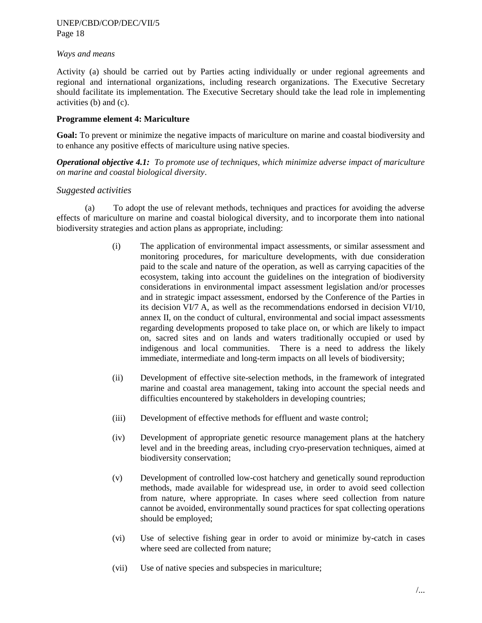### *Ways and means*

Activity (a) should be carried out by Parties acting individually or under regional agreements and regional and international organizations, including research organizations. The Executive Secretary should facilitate its implementation. The Executive Secretary should take the lead role in implementing activities (b) and (c).

### **Programme element 4: Mariculture**

Goal: To prevent or minimize the negative impacts of mariculture on marine and coastal biodiversity and to enhance any positive effects of mariculture using native species.

*Operational objective 4.1: To promote use of techniques, which minimize adverse impact of mariculture on marine and coastal biological diversity*.

# *Suggested activities*

(a) To adopt the use of relevant methods, techniques and practices for avoiding the adverse effects of mariculture on marine and coastal biological diversity, and to incorporate them into national biodiversity strategies and action plans as appropriate, including:

- (i) The application of environmental impact assessments, or similar assessment and monitoring procedures, for mariculture developments, with due consideration paid to the scale and nature of the operation, as well as carrying capacities of the ecosystem, taking into account the guidelines on the integration of biodiversity considerations in environmental impact assessment legislation and/or processes and in strategic impact assessment, endorsed by the Conference of the Parties in its decision VI/7 A, as well as the recommendations endorsed in decision VI/10, annex II, on the conduct of cultural, environmental and social impact assessments regarding developments proposed to take place on, or which are likely to impact on, sacred sites and on lands and waters traditionally occupied or used by indigenous and local communities. There is a need to address the likely immediate, intermediate and long-term impacts on all levels of biodiversity;
- (ii) Development of effective site-selection methods, in the framework of integrated marine and coastal area management, taking into account the special needs and difficulties encountered by stakeholders in developing countries;
- (iii) Development of effective methods for effluent and waste control;
- (iv) Development of appropriate genetic resource management plans at the hatchery level and in the breeding areas, including cryo-preservation techniques, aimed at biodiversity conservation;
- (v) Development of controlled low-cost hatchery and genetically sound reproduction methods, made available for widespread use, in order to avoid seed collection from nature, where appropriate. In cases where seed collection from nature cannot be avoided, environmentally sound practices for spat collecting operations should be employed;
- (vi) Use of selective fishing gear in order to avoid or minimize by-catch in cases where seed are collected from nature;
- (vii) Use of native species and subspecies in mariculture;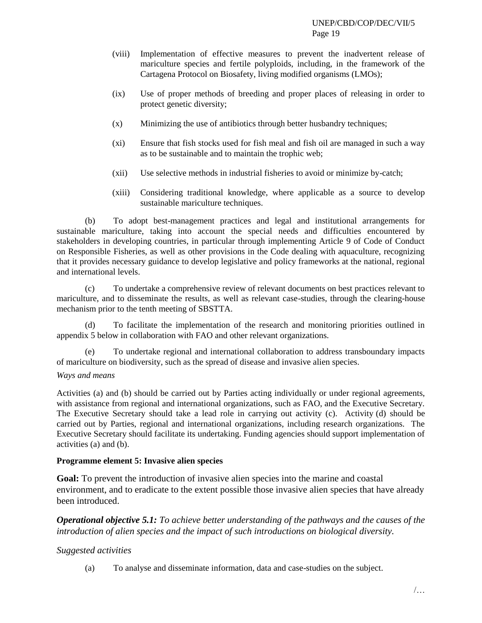- (viii) Implementation of effective measures to prevent the inadvertent release of mariculture species and fertile polyploids, including, in the framework of the Cartagena Protocol on Biosafety, living modified organisms (LMOs);
- (ix) Use of proper methods of breeding and proper places of releasing in order to protect genetic diversity;
- (x) Minimizing the use of antibiotics through better husbandry techniques;
- (xi) Ensure that fish stocks used for fish meal and fish oil are managed in such a way as to be sustainable and to maintain the trophic web;
- (xii) Use selective methods in industrial fisheries to avoid or minimize by-catch;
- (xiii) Considering traditional knowledge, where applicable as a source to develop sustainable mariculture techniques.

(b) To adopt best-management practices and legal and institutional arrangements for sustainable mariculture, taking into account the special needs and difficulties encountered by stakeholders in developing countries, in particular through implementing Article 9 of Code of Conduct on Responsible Fisheries, as well as other provisions in the Code dealing with aquaculture, recognizing that it provides necessary guidance to develop legislative and policy frameworks at the national, regional and international levels.

(c) To undertake a comprehensive review of relevant documents on best practices relevant to mariculture, and to disseminate the results, as well as relevant case-studies, through the clearing-house mechanism prior to the tenth meeting of SBSTTA.

(d) To facilitate the implementation of the research and monitoring priorities outlined in appendix 5 below in collaboration with FAO and other relevant organizations.

(e) To undertake regional and international collaboration to address transboundary impacts of mariculture on biodiversity, such as the spread of disease and invasive alien species.

### *Ways and means*

Activities (a) and (b) should be carried out by Parties acting individually or under regional agreements, with assistance from regional and international organizations, such as FAO, and the Executive Secretary. The Executive Secretary should take a lead role in carrying out activity (c). Activity (d) should be carried out by Parties, regional and international organizations, including research organizations. The Executive Secretary should facilitate its undertaking. Funding agencies should support implementation of activities (a) and (b).

### **Programme element 5: Invasive alien species**

**Goal:** To prevent the introduction of invasive alien species into the marine and coastal environment, and to eradicate to the extent possible those invasive alien species that have already been introduced.

*Operational objective 5.1: To achieve better understanding of the pathways and the causes of the introduction of alien species and the impact of such introductions on biological diversity.*

# *Suggested activities*

(a) To analyse and disseminate information, data and case-studies on the subject.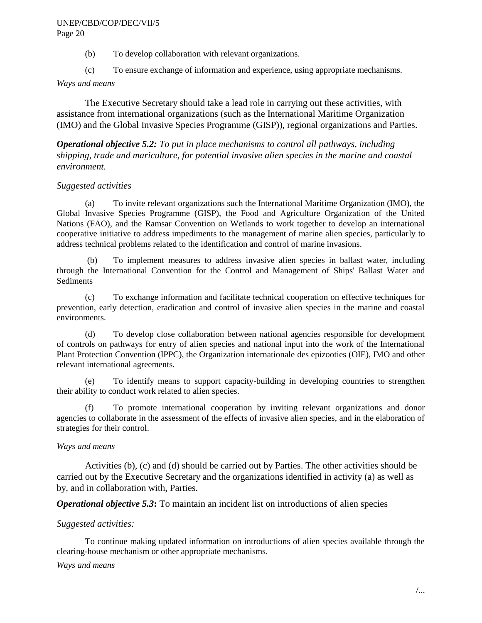- (b) To develop collaboration with relevant organizations.
- (c) To ensure exchange of information and experience, using appropriate mechanisms.

### *Ways and means*

The Executive Secretary should take a lead role in carrying out these activities, with assistance from international organizations (such as the International Maritime Organization (IMO) and the Global Invasive Species Programme (GISP)), regional organizations and Parties.

*Operational objective 5.2: To put in place mechanisms to control all pathways, including shipping, trade and mariculture, for potential invasive alien species in the marine and coastal environment.*

# *Suggested activities*

(a) To invite relevant organizations such the International Maritime Organization (IMO), the Global Invasive Species Programme (GISP), the Food and Agriculture Organization of the United Nations (FAO), and the Ramsar Convention on Wetlands to work together to develop an international cooperative initiative to address impediments to the management of marine alien species, particularly to address technical problems related to the identification and control of marine invasions.

(b) To implement measures to address invasive alien species in ballast water, including through the International Convention for the Control and Management of Ships' Ballast Water and Sediments

(c) To exchange information and facilitate technical cooperation on effective techniques for prevention, early detection, eradication and control of invasive alien species in the marine and coastal environments.

(d) To develop close collaboration between national agencies responsible for development of controls on pathways for entry of alien species and national input into the work of the International Plant Protection Convention (IPPC), the Organization internationale des epizooties (OIE), IMO and other relevant international agreements.

(e) To identify means to support capacity-building in developing countries to strengthen their ability to conduct work related to alien species.

(f) To promote international cooperation by inviting relevant organizations and donor agencies to collaborate in the assessment of the effects of invasive alien species, and in the elaboration of strategies for their control.

### *Ways and means*

Activities (b), (c) and (d) should be carried out by Parties. The other activities should be carried out by the Executive Secretary and the organizations identified in activity (a) as well as by, and in collaboration with, Parties.

*Operational objective 5.3***:** To maintain an incident list on introductions of alien species

# *Suggested activities:*

To continue making updated information on introductions of alien species available through the clearing-house mechanism or other appropriate mechanisms.

### *Ways and means*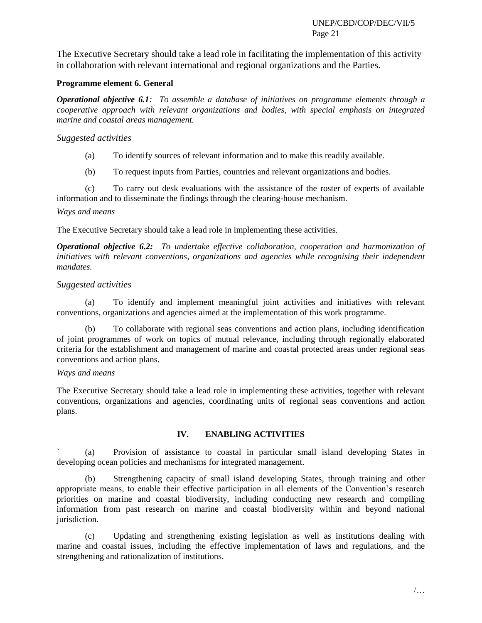The Executive Secretary should take a lead role in facilitating the implementation of this activity in collaboration with relevant international and regional organizations and the Parties.

# **Programme element 6. General**

*Operational objective 6.1: To assemble a database of initiatives on programme elements through a cooperative approach with relevant organizations and bodies, with special emphasis on integrated marine and coastal areas management.*

# *Suggested activities*

- (a) To identify sources of relevant information and to make this readily available.
- (b) To request inputs from Parties, countries and relevant organizations and bodies.

(c) To carry out desk evaluations with the assistance of the roster of experts of available information and to disseminate the findings through the clearing-house mechanism.

# *Ways and means*

The Executive Secretary should take a lead role in implementing these activities.

*Operational objective 6.2: To undertake effective collaboration, cooperation and harmonization of initiatives with relevant conventions, organizations and agencies while recognising their independent mandates.*

# *Suggested activities*

(a) To identify and implement meaningful joint activities and initiatives with relevant conventions, organizations and agencies aimed at the implementation of this work programme.

(b) To collaborate with regional seas conventions and action plans, including identification of joint programmes of work on topics of mutual relevance, including through regionally elaborated criteria for the establishment and management of marine and coastal protected areas under regional seas conventions and action plans.

# *Ways and means*

The Executive Secretary should take a lead role in implementing these activities, together with relevant conventions, organizations and agencies, coordinating units of regional seas conventions and action plans.

# **IV. ENABLING ACTIVITIES**

` (a) Provision of assistance to coastal in particular small island developing States in developing ocean policies and mechanisms for integrated management.

(b) Strengthening capacity of small island developing States, through training and other appropriate means, to enable their effective participation in all elements of the Convention's research priorities on marine and coastal biodiversity, including conducting new research and compiling information from past research on marine and coastal biodiversity within and beyond national jurisdiction.

(c) Updating and strengthening existing legislation as well as institutions dealing with marine and coastal issues, including the effective implementation of laws and regulations, and the strengthening and rationalization of institutions.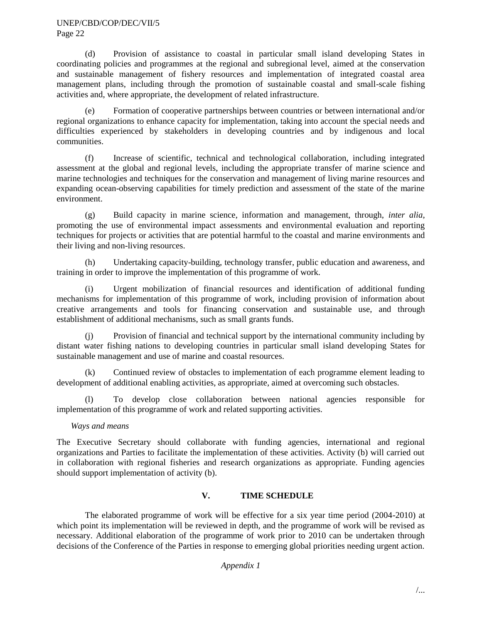(d) Provision of assistance to coastal in particular small island developing States in coordinating policies and programmes at the regional and subregional level, aimed at the conservation and sustainable management of fishery resources and implementation of integrated coastal area management plans, including through the promotion of sustainable coastal and small-scale fishing activities and, where appropriate, the development of related infrastructure.

(e) Formation of cooperative partnerships between countries or between international and/or regional organizations to enhance capacity for implementation, taking into account the special needs and difficulties experienced by stakeholders in developing countries and by indigenous and local communities.

(f) Increase of scientific, technical and technological collaboration, including integrated assessment at the global and regional levels, including the appropriate transfer of marine science and marine technologies and techniques for the conservation and management of living marine resources and expanding ocean-observing capabilities for timely prediction and assessment of the state of the marine environment.

(g) Build capacity in marine science, information and management, through, *inter alia*, promoting the use of environmental impact assessments and environmental evaluation and reporting techniques for projects or activities that are potential harmful to the coastal and marine environments and their living and non-living resources.

(h) Undertaking capacity-building, technology transfer, public education and awareness, and training in order to improve the implementation of this programme of work.

(i) Urgent mobilization of financial resources and identification of additional funding mechanisms for implementation of this programme of work, including provision of information about creative arrangements and tools for financing conservation and sustainable use, and through establishment of additional mechanisms, such as small grants funds.

(j) Provision of financial and technical support by the international community including by distant water fishing nations to developing countries in particular small island developing States for sustainable management and use of marine and coastal resources.

(k) Continued review of obstacles to implementation of each programme element leading to development of additional enabling activities, as appropriate, aimed at overcoming such obstacles.

(l) To develop close collaboration between national agencies responsible for implementation of this programme of work and related supporting activities.

# *Ways and means*

The Executive Secretary should collaborate with funding agencies, international and regional organizations and Parties to facilitate the implementation of these activities. Activity (b) will carried out in collaboration with regional fisheries and research organizations as appropriate. Funding agencies should support implementation of activity (b).

# **V. TIME SCHEDULE**

The elaborated programme of work will be effective for a six year time period (2004-2010) at which point its implementation will be reviewed in depth, and the programme of work will be revised as necessary. Additional elaboration of the programme of work prior to 2010 can be undertaken through decisions of the Conference of the Parties in response to emerging global priorities needing urgent action.

# *Appendix 1*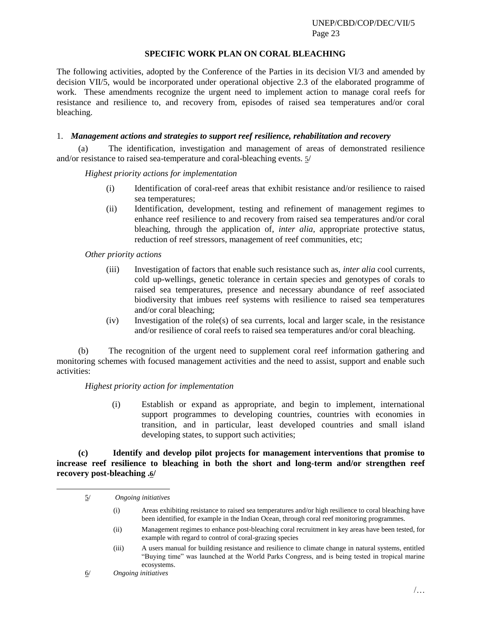# **SPECIFIC WORK PLAN ON CORAL BLEACHING**

The following activities, adopted by the Conference of the Parties in its decision VI/3 and amended by decision VII/5, would be incorporated under operational objective 2.3 of the elaborated programme of work. These amendments recognize the urgent need to implement action to manage coral reefs for resistance and resilience to, and recovery from, episodes of raised sea temperatures and/or coral bleaching.

### 1. *Management actions and strategies to support reef resilience, rehabilitation and recovery*

(a) The identification, investigation and management of areas of demonstrated resilience and/or resistance to raised sea-temperature and coral-bleaching events. 5/

### *Highest priority actions for implementation*

- (i) Identification of coral-reef areas that exhibit resistance and/or resilience to raised sea temperatures;
- (ii) Identification, development, testing and refinement of management regimes to enhance reef resilience to and recovery from raised sea temperatures and/or coral bleaching, through the application of, *inter alia,* appropriate protective status, reduction of reef stressors, management of reef communities, etc;

### *Other priority actions*

- (iii) Investigation of factors that enable such resistance such as, *inter alia* cool currents, cold up-wellings, genetic tolerance in certain species and genotypes of corals to raised sea temperatures, presence and necessary abundance of reef associated biodiversity that imbues reef systems with resilience to raised sea temperatures and/or coral bleaching;
- (iv) Investigation of the role(s) of sea currents, local and larger scale, in the resistance and/or resilience of coral reefs to raised sea temperatures and/or coral bleaching.

(b) The recognition of the urgent need to supplement coral reef information gathering and monitoring schemes with focused management activities and the need to assist, support and enable such activities:

### *Highest priority action for implementation*

(i) Establish or expand as appropriate, and begin to implement, international support programmes to developing countries, countries with economies in transition, and in particular, least developed countries and small island developing states, to support such activities;

**(c) Identify and develop pilot projects for management interventions that promise to increase reef resilience to bleaching in both the short and long-term and/or strengthen reef recovery post-bleaching .6/**

 $\overline{\phantom{a}}$ 

<sup>5/</sup> *Ongoing initiatives*

<sup>(</sup>i) Areas exhibiting resistance to raised sea temperatures and/or high resilience to coral bleaching have been identified, for example in the Indian Ocean, through coral reef monitoring programmes.

<sup>(</sup>ii) Management regimes to enhance post-bleaching coral recruitment in key areas have been tested, for example with regard to control of coral-grazing species

<sup>(</sup>iii) A users manual for building resistance and resilience to climate change in natural systems, entitled ―Buying time‖ was launched at the World Parks Congress, and is being tested in tropical marine ecosystems.

<sup>6/</sup> *Ongoing initiatives*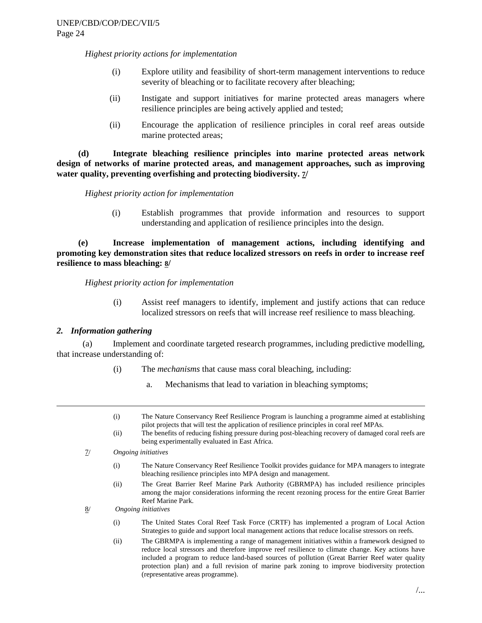*Highest priority actions for implementation*

- (i) Explore utility and feasibility of short-term management interventions to reduce severity of bleaching or to facilitate recovery after bleaching;
- (ii) Instigate and support initiatives for marine protected areas managers where resilience principles are being actively applied and tested;
- (ii) Encourage the application of resilience principles in coral reef areas outside marine protected areas;

**(d) Integrate bleaching resilience principles into marine protected areas network design of networks of marine protected areas, and management approaches, such as improving water quality, preventing overfishing and protecting biodiversity. 7/**

*Highest priority action for implementation*

(i) Establish programmes that provide information and resources to support understanding and application of resilience principles into the design.

**(e) Increase implementation of management actions, including identifying and promoting key demonstration sites that reduce localized stressors on reefs in order to increase reef resilience to mass bleaching: 8/** 

#### *Highest priority action for implementation*

(i) Assist reef managers to identify, implement and justify actions that can reduce localized stressors on reefs that will increase reef resilience to mass bleaching.

### *2. Information gathering*

l

(a) Implement and coordinate targeted research programmes, including predictive modelling, that increase understanding of:

- (i) The *mechanisms* that cause mass coral bleaching, including:
	- a. Mechanisms that lead to variation in bleaching symptoms;
- (i) The Nature Conservancy Reef Resilience Program is launching a programme aimed at establishing pilot projects that will test the application of resilience principles in coral reef MPAs.
- (ii) The benefits of reducing fishing pressure during post-bleaching recovery of damaged coral reefs are being experimentally evaluated in East Africa.
- 7/ *Ongoing initiatives*
	- (i) The Nature Conservancy Reef Resilience Toolkit provides guidance for MPA managers to integrate bleaching resilience principles into MPA design and management.
	- (ii) The Great Barrier Reef Marine Park Authority (GBRMPA) has included resilience principles among the major considerations informing the recent rezoning process for the entire Great Barrier Reef Marine Park.

8/ *Ongoing initiatives*

- (i) The United States Coral Reef Task Force (CRTF) has implemented a program of Local Action Strategies to guide and support local management actions that reduce localise stressors on reefs.
- (ii) The GBRMPA is implementing a range of management initiatives within a framework designed to reduce local stressors and therefore improve reef resilience to climate change. Key actions have included a program to reduce land-based sources of pollution (Great Barrier Reef water quality protection plan) and a full revision of marine park zoning to improve biodiversity protection (representative areas programme).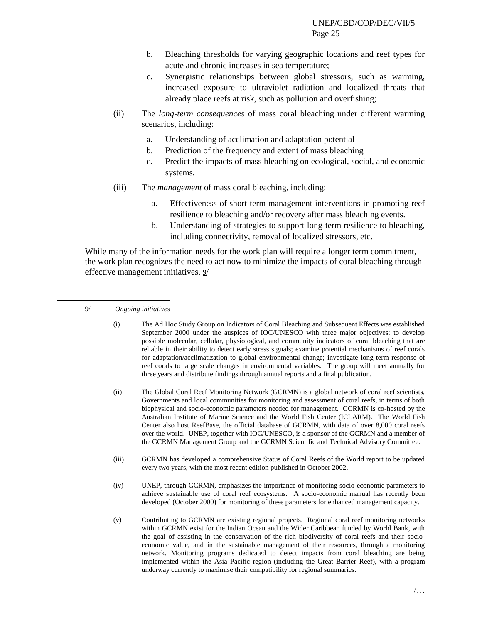- b. Bleaching thresholds for varying geographic locations and reef types for acute and chronic increases in sea temperature;
- c. Synergistic relationships between global stressors, such as warming, increased exposure to ultraviolet radiation and localized threats that already place reefs at risk, such as pollution and overfishing;
- (ii) The *long-term consequences* of mass coral bleaching under different warming scenarios, including:
	- a. Understanding of acclimation and adaptation potential
	- b. Prediction of the frequency and extent of mass bleaching
	- c. Predict the impacts of mass bleaching on ecological, social, and economic systems.
- (iii) The *management* of mass coral bleaching, including:
	- a. Effectiveness of short-term management interventions in promoting reef resilience to bleaching and/or recovery after mass bleaching events.
	- b. Understanding of strategies to support long-term resilience to bleaching, including connectivity, removal of localized stressors, etc.

While many of the information needs for the work plan will require a longer term commitment, the work plan recognizes the need to act now to minimize the impacts of coral bleaching through effective management initiatives. **9/** 

9/ *Ongoing initiatives*

l

(i) The Ad Hoc Study Group on Indicators of Coral Bleaching and Subsequent Effects was established September 2000 under the auspices of IOC/UNESCO with three major objectives: to develop possible molecular, cellular, physiological, and community indicators of coral bleaching that are reliable in their ability to detect early stress signals; examine potential mechanisms of reef corals for adaptation/acclimatization to global environmental change; investigate long-term response of reef corals to large scale changes in environmental variables. The group will meet annually for three years and distribute findings through annual reports and a final publication.

(ii) The Global Coral Reef Monitoring Network (GCRMN) is a global network of coral reef scientists, Governments and local communities for monitoring and assessment of coral reefs, in terms of both biophysical and socio-economic parameters needed for management. GCRMN is co-hosted by the Australian Institute of Marine Science and the World Fish Center (ICLARM). The World Fish Center also host ReefBase, the official database of GCRMN, with data of over 8,000 coral reefs over the world. UNEP, together with IOC/UNESCO, is a sponsor of the GCRMN and a member of the GCRMN Management Group and the GCRMN Scientific and Technical Advisory Committee.

- (iii) GCRMN has developed a comprehensive Status of Coral Reefs of the World report to be updated every two years, with the most recent edition published in October 2002.
- (iv) UNEP, through GCRMN, emphasizes the importance of monitoring socio-economic parameters to achieve sustainable use of coral reef ecosystems. A socio-economic manual has recently been developed (October 2000) for monitoring of these parameters for enhanced management capacity.
- (v) Contributing to GCRMN are existing regional projects. Regional coral reef monitoring networks within GCRMN exist for the Indian Ocean and the Wider Caribbean funded by World Bank, with the goal of assisting in the conservation of the rich biodiversity of coral reefs and their socioeconomic value, and in the sustainable management of their resources, through a monitoring network. Monitoring programs dedicated to detect impacts from coral bleaching are being implemented within the Asia Pacific region (including the Great Barrier Reef), with a program underway currently to maximise their compatibility for regional summaries.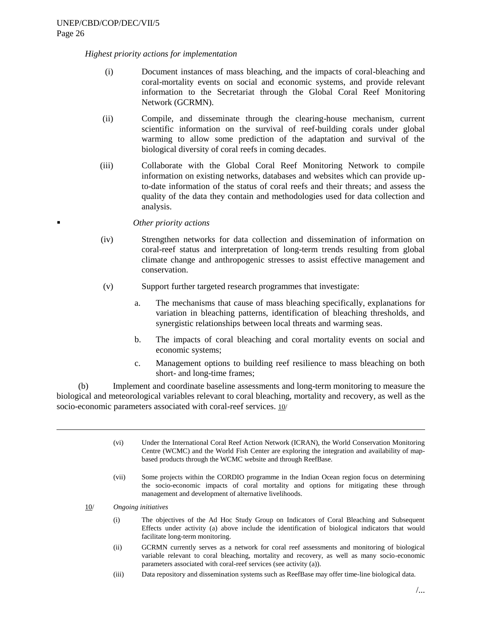#### *Highest priority actions for implementation*

- (i) Document instances of mass bleaching, and the impacts of coral-bleaching and coral-mortality events on social and economic systems, and provide relevant information to the Secretariat through the Global Coral Reef Monitoring Network (GCRMN).
- (ii) Compile, and disseminate through the clearing-house mechanism, current scientific information on the survival of reef-building corals under global warming to allow some prediction of the adaptation and survival of the biological diversity of coral reefs in coming decades.
- (iii) Collaborate with the Global Coral Reef Monitoring Network to compile information on existing networks, databases and websites which can provide upto-date information of the status of coral reefs and their threats; and assess the quality of the data they contain and methodologies used for data collection and analysis.

#### *Other priority actions*

- (iv) Strengthen networks for data collection and dissemination of information on coral-reef status and interpretation of long-term trends resulting from global climate change and anthropogenic stresses to assist effective management and conservation.
- (v) Support further targeted research programmes that investigate:
	- a. The mechanisms that cause of mass bleaching specifically, explanations for variation in bleaching patterns, identification of bleaching thresholds, and synergistic relationships between local threats and warming seas.
	- b. The impacts of coral bleaching and coral mortality events on social and economic systems;
	- c. Management options to building reef resilience to mass bleaching on both short- and long-time frames;

(b) Implement and coordinate baseline assessments and long-term monitoring to measure the biological and meteorological variables relevant to coral bleaching, mortality and recovery, as well as the socio-economic parameters associated with coral-reef services. 10/

- (vi) Under the International Coral Reef Action Network (ICRAN), the World Conservation Monitoring Centre (WCMC) and the World Fish Center are exploring the integration and availability of mapbased products through the WCMC website and through ReefBase.
- (vii) Some projects within the CORDIO programme in the Indian Ocean region focus on determining the socio-economic impacts of coral mortality and options for mitigating these through management and development of alternative livelihoods.
- 10/ *Ongoing initiatives*

l

- (i) The objectives of the Ad Hoc Study Group on Indicators of Coral Bleaching and Subsequent Effects under activity (a) above include the identification of biological indicators that would facilitate long-term monitoring.
- (ii) GCRMN currently serves as a network for coral reef assessments and monitoring of biological variable relevant to coral bleaching, mortality and recovery, as well as many socio-economic parameters associated with coral-reef services (see activity (a)).
- (iii) Data repository and dissemination systems such as ReefBase may offer time-line biological data.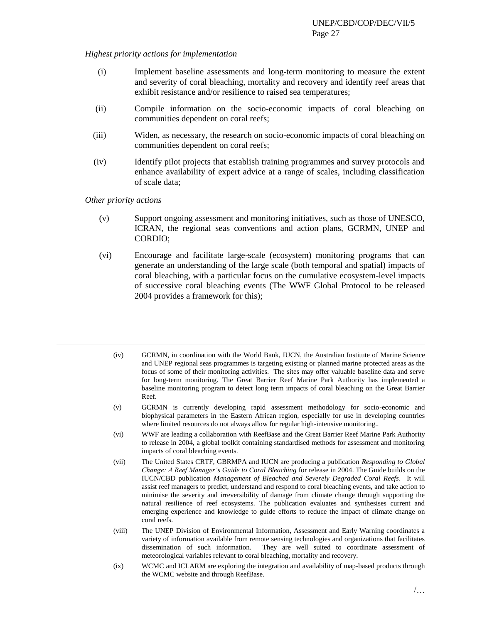#### *Highest priority actions for implementation*

- (i) Implement baseline assessments and long-term monitoring to measure the extent and severity of coral bleaching, mortality and recovery and identify reef areas that exhibit resistance and/or resilience to raised sea temperatures;
- (ii) Compile information on the socio-economic impacts of coral bleaching on communities dependent on coral reefs;
- (iii) Widen, as necessary, the research on socio-economic impacts of coral bleaching on communities dependent on coral reefs;
- (iv) Identify pilot projects that establish training programmes and survey protocols and enhance availability of expert advice at a range of scales, including classification of scale data;

*Other priority actions* 

l

- (v) Support ongoing assessment and monitoring initiatives, such as those of UNESCO, ICRAN, the regional seas conventions and action plans, GCRMN, UNEP and CORDIO;
- (vi) Encourage and facilitate large-scale (ecosystem) monitoring programs that can generate an understanding of the large scale (both temporal and spatial) impacts of coral bleaching, with a particular focus on the cumulative ecosystem-level impacts of successive coral bleaching events (The WWF Global Protocol to be released 2004 provides a framework for this);
	- (iv) GCRMN, in coordination with the World Bank, IUCN, the Australian Institute of Marine Science and UNEP regional seas programmes is targeting existing or planned marine protected areas as the focus of some of their monitoring activities. The sites may offer valuable baseline data and serve for long-term monitoring. The Great Barrier Reef Marine Park Authority has implemented a baseline monitoring program to detect long term impacts of coral bleaching on the Great Barrier Reef.
	- (v) GCRMN is currently developing rapid assessment methodology for socio-economic and biophysical parameters in the Eastern African region, especially for use in developing countries where limited resources do not always allow for regular high-intensive monitoring..
	- (vi) WWF are leading a collaboration with ReefBase and the Great Barrier Reef Marine Park Authority to release in 2004, a global toolkit containing standardised methods for assessment and monitoring impacts of coral bleaching events.
	- (vii) The United States CRTF, GBRMPA and IUCN are producing a publication *Responding to Global Change: A Reef Manager's Guide to Coral Bleaching* for release in 2004. The Guide builds on the IUCN/CBD publication *Management of Bleached and Severely Degraded Coral Reefs*. It will assist reef managers to predict, understand and respond to coral bleaching events, and take action to minimise the severity and irreversibility of damage from climate change through supporting the natural resilience of reef ecosystems. The publication evaluates and synthesises current and emerging experience and knowledge to guide efforts to reduce the impact of climate change on coral reefs.
	- (viii) The UNEP Division of Environmental Information, Assessment and Early Warning coordinates a variety of information available from remote sensing technologies and organizations that facilitates dissemination of such information. They are well suited to coordinate assessment of meteorological variables relevant to coral bleaching, mortality and recovery.
	- (ix) WCMC and ICLARM are exploring the integration and availability of map-based products through the WCMC website and through ReefBase.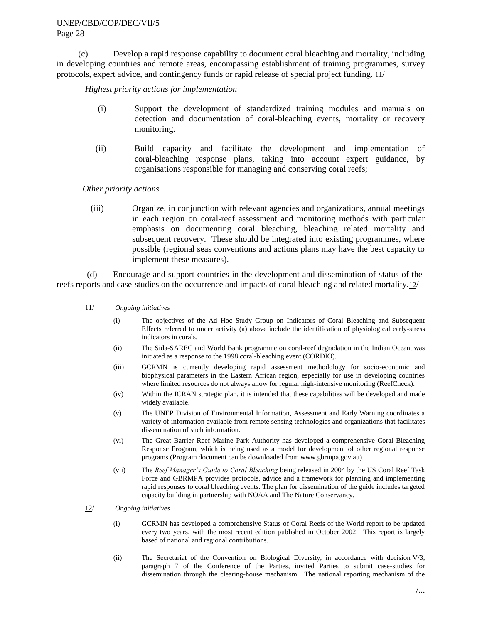(c) Develop a rapid response capability to document coral bleaching and mortality, including in developing countries and remote areas, encompassing establishment of training programmes, survey protocols, expert advice, and contingency funds or rapid release of special project funding. 11/

*Highest priority actions for implementation*

- (i) Support the development of standardized training modules and manuals on detection and documentation of coral-bleaching events, mortality or recovery monitoring.
- (ii) Build capacity and facilitate the development and implementation of coral-bleaching response plans, taking into account expert guidance, by organisations responsible for managing and conserving coral reefs;

*Other priority actions*

(iii) Organize, in conjunction with relevant agencies and organizations, annual meetings in each region on coral-reef assessment and monitoring methods with particular emphasis on documenting coral bleaching, bleaching related mortality and subsequent recovery. These should be integrated into existing programmes, where possible (regional seas conventions and actions plans may have the best capacity to implement these measures).

(d) Encourage and support countries in the development and dissemination of status-of-thereefs reports and case-studies on the occurrence and impacts of coral bleaching and related mortality.12/

 $\overline{\phantom{a}}$ 

- (i) The objectives of the Ad Hoc Study Group on Indicators of Coral Bleaching and Subsequent Effects referred to under activity (a) above include the identification of physiological early-stress indicators in corals.
- (ii) The Sida-SAREC and World Bank programme on coral-reef degradation in the Indian Ocean, was initiated as a response to the 1998 coral-bleaching event (CORDIO).
- (iii) GCRMN is currently developing rapid assessment methodology for socio-economic and biophysical parameters in the Eastern African region, especially for use in developing countries where limited resources do not always allow for regular high-intensive monitoring (ReefCheck).
- (iv) Within the ICRAN strategic plan, it is intended that these capabilities will be developed and made widely available.
- (v) The UNEP Division of Environmental Information, Assessment and Early Warning coordinates a variety of information available from remote sensing technologies and organizations that facilitates dissemination of such information.
- (vi) The Great Barrier Reef Marine Park Authority has developed a comprehensive Coral Bleaching Response Program, which is being used as a model for development of other regional response programs (Program document can be downloaded fro[m www.gbrmpa.gov.au\)](http://www.gbrmpa.gov.au/).
- (vii) The *Reef Manager's Guide to Coral Bleaching* being released in 2004 by the US Coral Reef Task Force and GBRMPA provides protocols, advice and a framework for planning and implementing rapid responses to coral bleaching events. The plan for dissemination of the guide includes targeted capacity building in partnership with NOAA and The Nature Conservancy.
- 12/ *Ongoing initiatives*
	- (i) GCRMN has developed a comprehensive Status of Coral Reefs of the World report to be updated every two years, with the most recent edition published in October 2002. This report is largely based of national and regional contributions.
	- (ii) The Secretariat of the Convention on Biological Diversity, in accordance with decision V/3, paragraph 7 of the Conference of the Parties, invited Parties to submit case-studies for dissemination through the clearing-house mechanism. The national reporting mechanism of the

<sup>11/</sup> *Ongoing initiatives*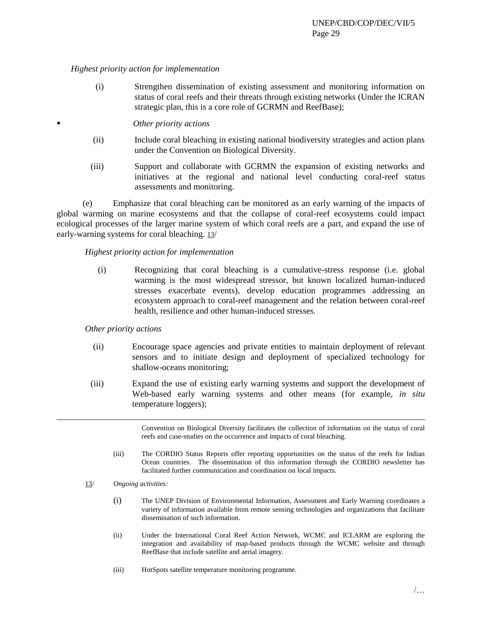### *Highest priority action for implementation*

(i) Strengthen dissemination of existing assessment and monitoring information on status of coral reefs and their threats through existing networks (Under the ICRAN strategic plan, this is a core role of GCRMN and ReefBase);

### *Other priority actions*

- (ii) Include coral bleaching in existing national biodiversity strategies and action plans under the Convention on Biological Diversity.
- (iii) Support and collaborate with GCRMN the expansion of existing networks and initiatives at the regional and national level conducting coral-reef status assessments and monitoring.

(e) Emphasize that coral bleaching can be monitored as an early warning of the impacts of global warming on marine ecosystems and that the collapse of coral-reef ecosystems could impact ecological processes of the larger marine system of which coral reefs are a part, and expand the use of early-warning systems for coral bleaching. 13/

### *Highest priority action for implementation*

(i) Recognizing that coral bleaching is a cumulative-stress response (i.e. global warming is the most widespread stressor, but known localized human-induced stresses exacerbate events), develop education programmes addressing an ecosystem approach to coral-reef management and the relation between coral-reef health, resilience and other human-induced stresses.

### *Other priority actions*

- (ii) Encourage space agencies and private entities to maintain deployment of relevant sensors and to initiate design and deployment of specialized technology for shallow-oceans monitoring;
- (iii) Expand the use of existing early warning systems and support the development of Web-based early warning systems and other means (for example, *in situ* temperature loggers);

Convention on Biological Diversity facilitates the collection of information on the status of coral reefs and case-studies on the occurrence and impacts of coral bleaching.

- (iii) The CORDIO Status Reports offer reporting opportunities on the status of the reefs for Indian Ocean countries. The dissemination of this information through the CORDIO newsletter has facilitated further communication and coordination on local impacts.
- 13/ *Ongoing activities:*

 $\overline{\phantom{a}}$ 

- (i) The UNEP Division of Environmental Information, Assessment and Early Warning coordinates a variety of information available from remote sensing technologies and organizations that facilitate dissemination of such information.
- (ii) Under the International Coral Reef Action Network, WCMC and ICLARM are exploring the integration and availability of map-based products through the WCMC website and through ReefBase that include satellite and aerial imagery.
- (iii) HotSpots satellite temperature monitoring programme.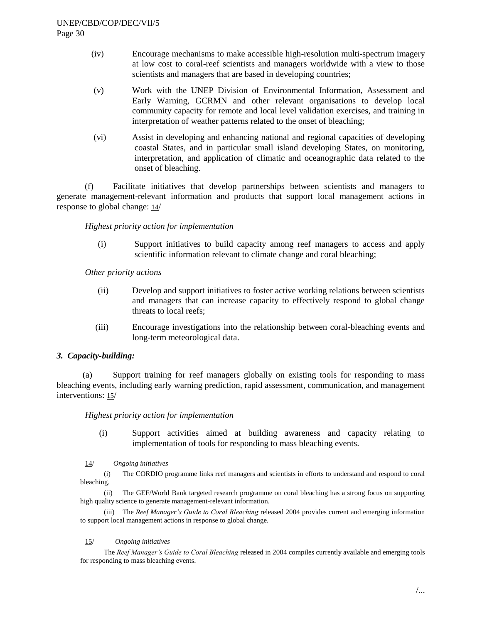- (iv) Encourage mechanisms to make accessible high-resolution multi-spectrum imagery at low cost to coral-reef scientists and managers worldwide with a view to those scientists and managers that are based in developing countries;
- (v) Work with the UNEP Division of Environmental Information, Assessment and Early Warning, GCRMN and other relevant organisations to develop local community capacity for remote and local level validation exercises, and training in interpretation of weather patterns related to the onset of bleaching;
- (vi) Assist in developing and enhancing national and regional capacities of developing coastal States, and in particular small island developing States, on monitoring, interpretation, and application of climatic and oceanographic data related to the onset of bleaching.

(f) Facilitate initiatives that develop partnerships between scientists and managers to generate management-relevant information and products that support local management actions in response to global change: 14/

*Highest priority action for implementation*

(i) Support initiatives to build capacity among reef managers to access and apply scientific information relevant to climate change and coral bleaching;

*Other priority actions*

- (ii) Develop and support initiatives to foster active working relations between scientists and managers that can increase capacity to effectively respond to global change threats to local reefs;
- (iii) Encourage investigations into the relationship between coral-bleaching events and long-term meteorological data.

### *3. Capacity-building:*

l

(a) Support training for reef managers globally on existing tools for responding to mass bleaching events, including early warning prediction, rapid assessment, communication, and management interventions: 15/

*Highest priority action for implementation*

(i) Support activities aimed at building awareness and capacity relating to implementation of tools for responding to mass bleaching events.

14/ *Ongoing initiatives*

(i) The CORDIO programme links reef managers and scientists in efforts to understand and respond to coral bleaching.

(ii) The GEF/World Bank targeted research programme on coral bleaching has a strong focus on supporting high quality science to generate management-relevant information.

(iii) The *Reef Manager's Guide to Coral Bleaching* released 2004 provides current and emerging information to support local management actions in response to global change.

#### 15/ *Ongoing initiatives*

The *Reef Manager's Guide to Coral Bleaching* released in 2004 compiles currently available and emerging tools for responding to mass bleaching events.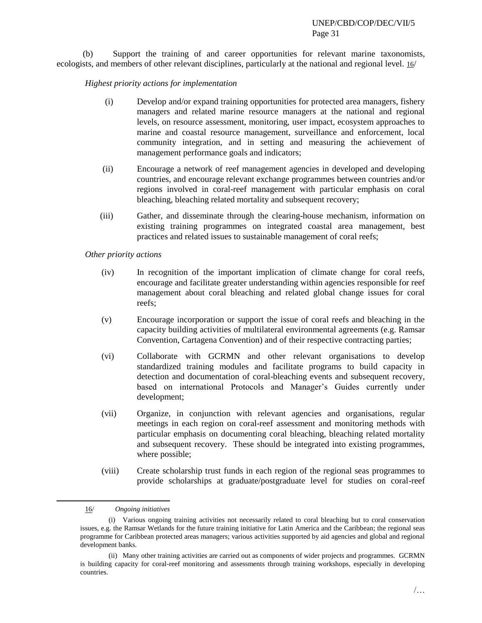(b) Support the training of and career opportunities for relevant marine taxonomists, ecologists, and members of other relevant disciplines, particularly at the national and regional level. 16/

*Highest priority actions for implementation*

- (i) Develop and/or expand training opportunities for protected area managers, fishery managers and related marine resource managers at the national and regional levels, on resource assessment, monitoring, user impact, ecosystem approaches to marine and coastal resource management, surveillance and enforcement, local community integration, and in setting and measuring the achievement of management performance goals and indicators;
- (ii) Encourage a network of reef management agencies in developed and developing countries, and encourage relevant exchange programmes between countries and/or regions involved in coral-reef management with particular emphasis on coral bleaching, bleaching related mortality and subsequent recovery;
- (iii) Gather, and disseminate through the clearing-house mechanism, information on existing training programmes on integrated coastal area management, best practices and related issues to sustainable management of coral reefs;

*Other priority actions*

- (iv) In recognition of the important implication of climate change for coral reefs, encourage and facilitate greater understanding within agencies responsible for reef management about coral bleaching and related global change issues for coral reefs;
- (v) Encourage incorporation or support the issue of coral reefs and bleaching in the capacity building activities of multilateral environmental agreements (e.g. Ramsar Convention, Cartagena Convention) and of their respective contracting parties;
- (vi) Collaborate with GCRMN and other relevant organisations to develop standardized training modules and facilitate programs to build capacity in detection and documentation of coral-bleaching events and subsequent recovery, based on international Protocols and Manager's Guides currently under development;
- (vii) Organize, in conjunction with relevant agencies and organisations, regular meetings in each region on coral-reef assessment and monitoring methods with particular emphasis on documenting coral bleaching, bleaching related mortality and subsequent recovery. These should be integrated into existing programmes, where possible;
- (viii) Create scholarship trust funds in each region of the regional seas programmes to provide scholarships at graduate/postgraduate level for studies on coral-reef

l

<sup>16/</sup> *Ongoing initiatives*

<sup>(</sup>i) Various ongoing training activities not necessarily related to coral bleaching but to coral conservation issues, e.g. the Ramsar Wetlands for the future training initiative for Latin America and the Caribbean; the regional seas programme for Caribbean protected areas managers; various activities supported by aid agencies and global and regional development banks.

<sup>(</sup>ii) Many other training activities are carried out as components of wider projects and programmes. GCRMN is building capacity for coral-reef monitoring and assessments through training workshops, especially in developing countries.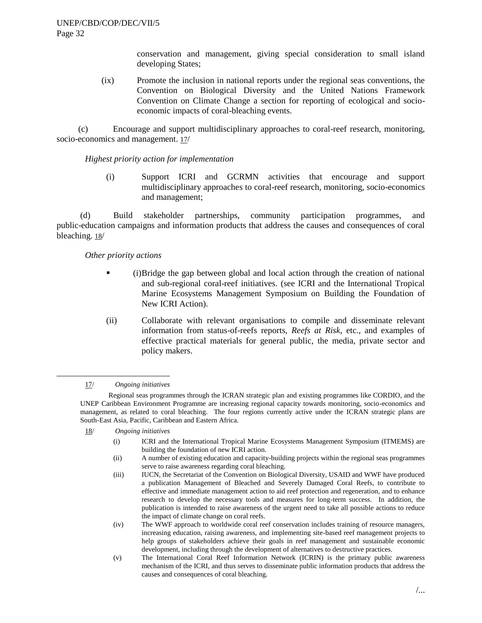conservation and management, giving special consideration to small island developing States;

(ix) Promote the inclusion in national reports under the regional seas conventions, the Convention on Biological Diversity and the United Nations Framework Convention on Climate Change a section for reporting of ecological and socioeconomic impacts of coral-bleaching events.

(c) Encourage and support multidisciplinary approaches to coral-reef research, monitoring, socio-economics and management. 17/

### *Highest priority action for implementation*

(i) Support ICRI and GCRMN activities that encourage and support multidisciplinary approaches to coral-reef research, monitoring, socio-economics and management;

(d) Build stakeholder partnerships, community participation programmes, and public-education campaigns and information products that address the causes and consequences of coral bleaching. 18/

#### *Other priority actions*

- (i)Bridge the gap between global and local action through the creation of national and sub-regional coral-reef initiatives. (see ICRI and the International Tropical Marine Ecosystems Management Symposium on Building the Foundation of New ICRI Action).
- (ii) Collaborate with relevant organisations to compile and disseminate relevant information from status-of-reefs reports, *Reefs at Risk*, etc., and examples of effective practical materials for general public, the media, private sector and policy makers.

#### 17/ *Ongoing initiatives*

 $\overline{\phantom{a}}$ 

Regional seas programmes through the ICRAN strategic plan and existing programmes like CORDIO, and the UNEP Caribbean Environment Programme are increasing regional capacity towards monitoring, socio-economics and management, as related to coral bleaching. The four regions currently active under the ICRAN strategic plans are South-East Asia, Pacific, Caribbean and Eastern Africa.

- 18/ *Ongoing initiatives*
	- (i) ICRI and the International Tropical Marine Ecosystems Management Symposium (ITMEMS) are building the foundation of new ICRI action.
	- (ii) A number of existing education and capacity-building projects within the regional seas programmes serve to raise awareness regarding coral bleaching.
	- (iii) IUCN, the Secretariat of the Convention on Biological Diversity, USAID and WWF have produced a publication Management of Bleached and Severely Damaged Coral Reefs, to contribute to effective and immediate management action to aid reef protection and regeneration, and to enhance research to develop the necessary tools and measures for long-term success. In addition, the publication is intended to raise awareness of the urgent need to take all possible actions to reduce the impact of climate change on coral reefs.
	- (iv) The WWF approach to worldwide coral reef conservation includes training of resource managers, increasing education, raising awareness, and implementing site-based reef management projects to help groups of stakeholders achieve their goals in reef management and sustainable economic development, including through the development of alternatives to destructive practices.
	- (v) The International Coral Reef Information Network (ICRIN) is the primary public awareness mechanism of the ICRI, and thus serves to disseminate public information products that address the causes and consequences of coral bleaching.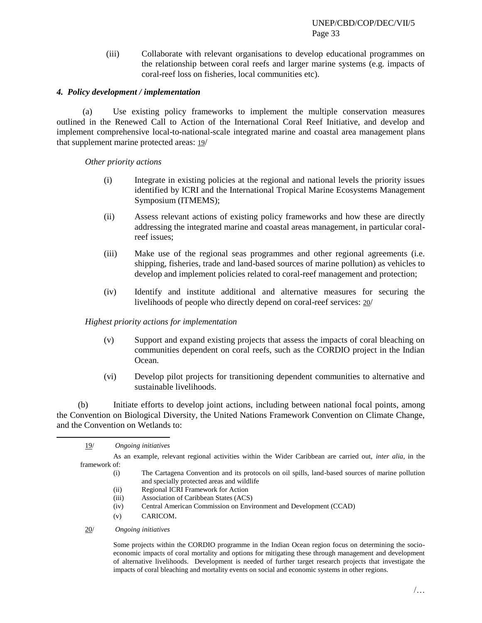(iii) Collaborate with relevant organisations to develop educational programmes on the relationship between coral reefs and larger marine systems (e.g. impacts of coral-reef loss on fisheries, local communities etc).

### *4. Policy development / implementation*

(a) Use existing policy frameworks to implement the multiple conservation measures outlined in the Renewed Call to Action of the International Coral Reef Initiative, and develop and implement comprehensive local-to-national-scale integrated marine and coastal area management plans that supplement marine protected areas: 19/

*Other priority actions*

- (i) Integrate in existing policies at the regional and national levels the priority issues identified by ICRI and the International Tropical Marine Ecosystems Management Symposium (ITMEMS);
- (ii) Assess relevant actions of existing policy frameworks and how these are directly addressing the integrated marine and coastal areas management, in particular coralreef issues;
- (iii) Make use of the regional seas programmes and other regional agreements (i.e. shipping, fisheries, trade and land-based sources of marine pollution) as vehicles to develop and implement policies related to coral-reef management and protection;
- (iv) Identify and institute additional and alternative measures for securing the livelihoods of people who directly depend on coral-reef services: 20/

### *Highest priority actions for implementation*

- (v) Support and expand existing projects that assess the impacts of coral bleaching on communities dependent on coral reefs, such as the CORDIO project in the Indian Ocean.
- (vi) Develop pilot projects for transitioning dependent communities to alternative and sustainable livelihoods.

(b) Initiate efforts to develop joint actions, including between national focal points, among the Convention on Biological Diversity, the United Nations Framework Convention on Climate Change, and the Convention on Wetlands to:

 $\overline{\phantom{a}}$ 

- (i) The Cartagena Convention and its protocols on oil spills, land-based sources of marine pollution and specially protected areas and wildlife
- (ii) Regional ICRI Framework for Action
- (iii) Association of Caribbean States (ACS)
- (iv) Central American Commission on Environment and Development (CCAD)
- (v) CARICOM.
- 20/ *Ongoing initiatives*

Some projects within the CORDIO programme in the Indian Ocean region focus on determining the socioeconomic impacts of coral mortality and options for mitigating these through management and development of alternative livelihoods. Development is needed of further target research projects that investigate the impacts of coral bleaching and mortality events on social and economic systems in other regions.

<sup>19/</sup> *Ongoing initiatives*

As an example, relevant regional activities within the Wider Caribbean are carried out, *inter alia*, in the framework of: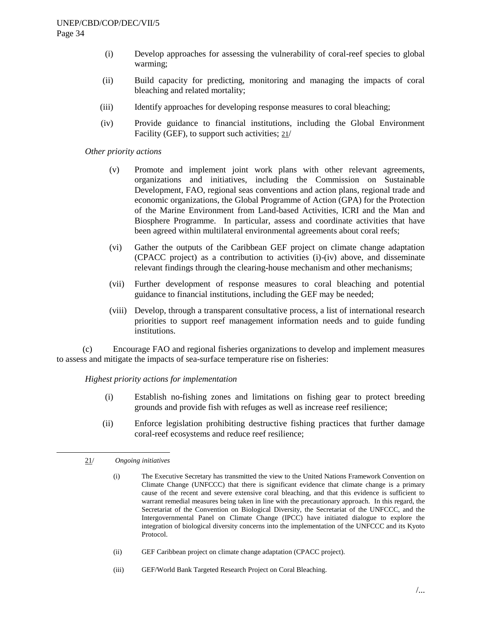- (i) Develop approaches for assessing the vulnerability of coral-reef species to global warming;
- (ii) Build capacity for predicting, monitoring and managing the impacts of coral bleaching and related mortality;
- (iii) Identify approaches for developing response measures to coral bleaching;
- (iv) Provide guidance to financial institutions, including the Global Environment Facility (GEF), to support such activities; 21/

*Other priority actions*

- (v) Promote and implement joint work plans with other relevant agreements, organizations and initiatives, including the Commission on Sustainable Development, FAO, regional seas conventions and action plans, regional trade and economic organizations, the Global Programme of Action (GPA) for the Protection of the Marine Environment from Land-based Activities, ICRI and the Man and Biosphere Programme. In particular, assess and coordinate activities that have been agreed within multilateral environmental agreements about coral reefs;
- (vi) Gather the outputs of the Caribbean GEF project on climate change adaptation (CPACC project) as a contribution to activities (i)-(iv) above, and disseminate relevant findings through the clearing-house mechanism and other mechanisms;
- (vii) Further development of response measures to coral bleaching and potential guidance to financial institutions, including the GEF may be needed;
- (viii) Develop, through a transparent consultative process, a list of international research priorities to support reef management information needs and to guide funding institutions.

(c) Encourage FAO and regional fisheries organizations to develop and implement measures to assess and mitigate the impacts of sea-surface temperature rise on fisheries:

*Highest priority actions for implementation*

- (i) Establish no-fishing zones and limitations on fishing gear to protect breeding grounds and provide fish with refuges as well as increase reef resilience;
- (ii) Enforce legislation prohibiting destructive fishing practices that further damage coral-reef ecosystems and reduce reef resilience;

 $\overline{a}$ 

- (ii) GEF Caribbean project on climate change adaptation (CPACC project).
- (iii) GEF/World Bank Targeted Research Project on Coral Bleaching.

<sup>21/</sup> *Ongoing initiatives* 

<sup>(</sup>i) The Executive Secretary has transmitted the view to the United Nations Framework Convention on Climate Change (UNFCCC) that there is significant evidence that climate change is a primary cause of the recent and severe extensive coral bleaching, and that this evidence is sufficient to warrant remedial measures being taken in line with the precautionary approach. In this regard, the Secretariat of the Convention on Biological Diversity, the Secretariat of the UNFCCC, and the Intergovernmental Panel on Climate Change (IPCC) have initiated dialogue to explore the integration of biological diversity concerns into the implementation of the UNFCCC and its Kyoto Protocol.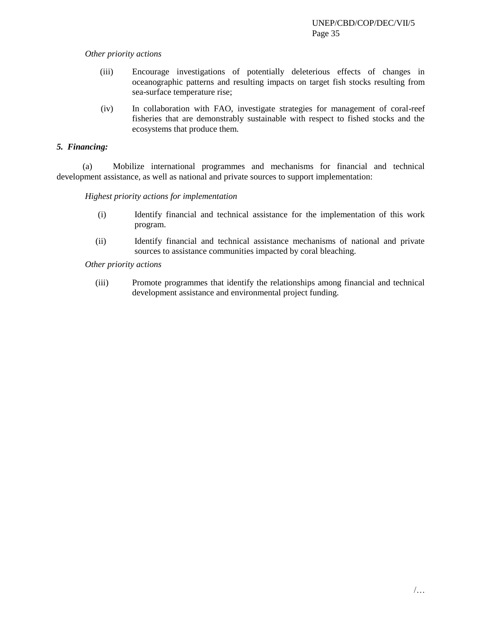### *Other priority actions*

- (iii) Encourage investigations of potentially deleterious effects of changes in oceanographic patterns and resulting impacts on target fish stocks resulting from sea-surface temperature rise;
- (iv) In collaboration with FAO, investigate strategies for management of coral-reef fisheries that are demonstrably sustainable with respect to fished stocks and the ecosystems that produce them.

### *5. Financing:*

(a) Mobilize international programmes and mechanisms for financial and technical development assistance, as well as national and private sources to support implementation:

*Highest priority actions for implementation*

- (i) Identify financial and technical assistance for the implementation of this work program.
- (ii) Identify financial and technical assistance mechanisms of national and private sources to assistance communities impacted by coral bleaching.

*Other priority actions*

(iii) Promote programmes that identify the relationships among financial and technical development assistance and environmental project funding.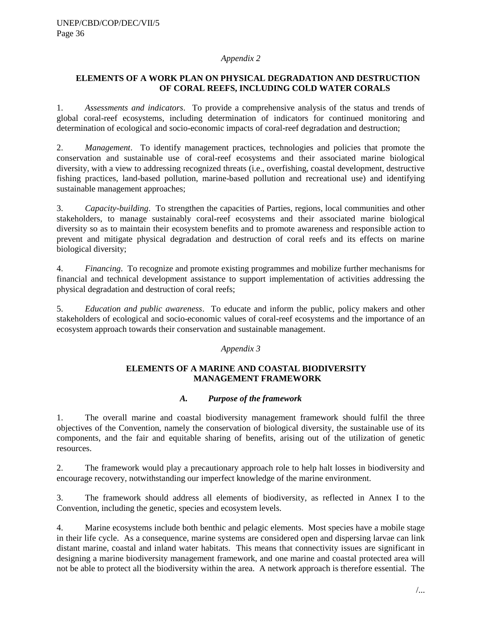### *Appendix 2*

# **ELEMENTS OF A WORK PLAN ON PHYSICAL DEGRADATION AND DESTRUCTION OF CORAL REEFS, INCLUDING COLD WATER CORALS**

1. *Assessments and indicators*. To provide a comprehensive analysis of the status and trends of global coral-reef ecosystems, including determination of indicators for continued monitoring and determination of ecological and socio-economic impacts of coral-reef degradation and destruction;

2. *Management*. To identify management practices, technologies and policies that promote the conservation and sustainable use of coral-reef ecosystems and their associated marine biological diversity, with a view to addressing recognized threats (i.e., overfishing, coastal development, destructive fishing practices, land-based pollution, marine-based pollution and recreational use) and identifying sustainable management approaches;

3. *Capacity-building*. To strengthen the capacities of Parties, regions, local communities and other stakeholders, to manage sustainably coral-reef ecosystems and their associated marine biological diversity so as to maintain their ecosystem benefits and to promote awareness and responsible action to prevent and mitigate physical degradation and destruction of coral reefs and its effects on marine biological diversity;

4. *Financing*. To recognize and promote existing programmes and mobilize further mechanisms for financial and technical development assistance to support implementation of activities addressing the physical degradation and destruction of coral reefs;

5. *Education and public awareness*. To educate and inform the public, policy makers and other stakeholders of ecological and socio-economic values of coral-reef ecosystems and the importance of an ecosystem approach towards their conservation and sustainable management.

### *Appendix 3*

### **ELEMENTS OF A MARINE AND COASTAL BIODIVERSITY MANAGEMENT FRAMEWORK**

# *A. Purpose of the framework*

1. The overall marine and coastal biodiversity management framework should fulfil the three objectives of the Convention, namely the conservation of biological diversity, the sustainable use of its components, and the fair and equitable sharing of benefits, arising out of the utilization of genetic resources.

2. The framework would play a precautionary approach role to help halt losses in biodiversity and encourage recovery, notwithstanding our imperfect knowledge of the marine environment.

3. The framework should address all elements of biodiversity, as reflected in Annex I to the Convention, including the genetic, species and ecosystem levels.

4. Marine ecosystems include both benthic and pelagic elements. Most species have a mobile stage in their life cycle. As a consequence, marine systems are considered open and dispersing larvae can link distant marine, coastal and inland water habitats. This means that connectivity issues are significant in designing a marine biodiversity management framework, and one marine and coastal protected area will not be able to protect all the biodiversity within the area. A network approach is therefore essential. The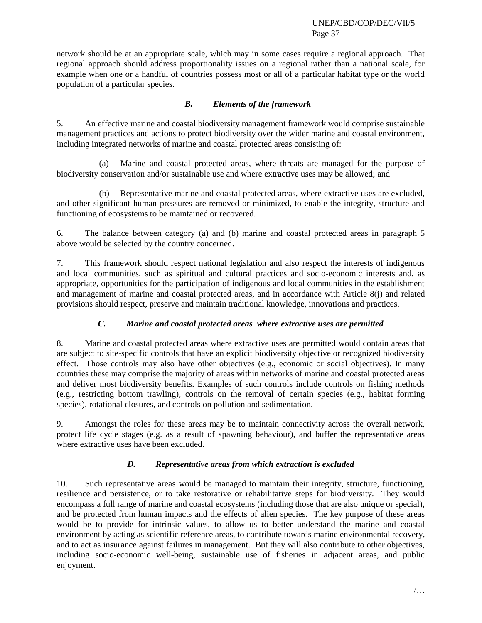network should be at an appropriate scale, which may in some cases require a regional approach. That regional approach should address proportionality issues on a regional rather than a national scale, for example when one or a handful of countries possess most or all of a particular habitat type or the world population of a particular species.

# *B. Elements of the framework*

5. An effective marine and coastal biodiversity management framework would comprise sustainable management practices and actions to protect biodiversity over the wider marine and coastal environment, including integrated networks of marine and coastal protected areas consisting of:

(a) Marine and coastal protected areas, where threats are managed for the purpose of biodiversity conservation and/or sustainable use and where extractive uses may be allowed; and

(b) Representative marine and coastal protected areas, where extractive uses are excluded, and other significant human pressures are removed or minimized, to enable the integrity, structure and functioning of ecosystems to be maintained or recovered.

6. The balance between category (a) and (b) marine and coastal protected areas in paragraph 5 above would be selected by the country concerned.

7. This framework should respect national legislation and also respect the interests of indigenous and local communities, such as spiritual and cultural practices and socio-economic interests and, as appropriate, opportunities for the participation of indigenous and local communities in the establishment and management of marine and coastal protected areas, and in accordance with Article 8(j) and related provisions should respect, preserve and maintain traditional knowledge, innovations and practices.

# *C. Marine and coastal protected areas where extractive uses are permitted*

8. Marine and coastal protected areas where extractive uses are permitted would contain areas that are subject to site-specific controls that have an explicit biodiversity objective or recognized biodiversity effect. Those controls may also have other objectives (e.g., economic or social objectives). In many countries these may comprise the majority of areas within networks of marine and coastal protected areas and deliver most biodiversity benefits. Examples of such controls include controls on fishing methods (e.g., restricting bottom trawling), controls on the removal of certain species (e.g., habitat forming species), rotational closures, and controls on pollution and sedimentation.

9. Amongst the roles for these areas may be to maintain connectivity across the overall network, protect life cycle stages (e.g. as a result of spawning behaviour), and buffer the representative areas where extractive uses have been excluded.

# *D. Representative areas from which extraction is excluded*

10. Such representative areas would be managed to maintain their integrity, structure, functioning, resilience and persistence, or to take restorative or rehabilitative steps for biodiversity. They would encompass a full range of marine and coastal ecosystems (including those that are also unique or special), and be protected from human impacts and the effects of alien species. The key purpose of these areas would be to provide for intrinsic values, to allow us to better understand the marine and coastal environment by acting as scientific reference areas, to contribute towards marine environmental recovery, and to act as insurance against failures in management. But they will also contribute to other objectives, including socio-economic well-being, sustainable use of fisheries in adjacent areas, and public enjoyment.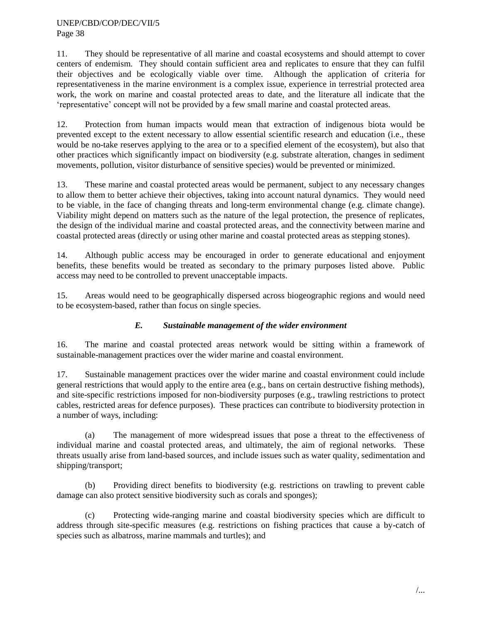11. They should be representative of all marine and coastal ecosystems and should attempt to cover centers of endemism. They should contain sufficient area and replicates to ensure that they can fulfil their objectives and be ecologically viable over time. Although the application of criteria for representativeness in the marine environment is a complex issue, experience in terrestrial protected area work, the work on marine and coastal protected areas to date, and the literature all indicate that the ‗representative' concept will not be provided by a few small marine and coastal protected areas.

12. Protection from human impacts would mean that extraction of indigenous biota would be prevented except to the extent necessary to allow essential scientific research and education (i.e., these would be no-take reserves applying to the area or to a specified element of the ecosystem), but also that other practices which significantly impact on biodiversity (e.g. substrate alteration, changes in sediment movements, pollution, visitor disturbance of sensitive species) would be prevented or minimized.

13. These marine and coastal protected areas would be permanent, subject to any necessary changes to allow them to better achieve their objectives, taking into account natural dynamics. They would need to be viable, in the face of changing threats and long-term environmental change (e.g. climate change). Viability might depend on matters such as the nature of the legal protection, the presence of replicates, the design of the individual marine and coastal protected areas, and the connectivity between marine and coastal protected areas (directly or using other marine and coastal protected areas as stepping stones).

14. Although public access may be encouraged in order to generate educational and enjoyment benefits, these benefits would be treated as secondary to the primary purposes listed above. Public access may need to be controlled to prevent unacceptable impacts.

15. Areas would need to be geographically dispersed across biogeographic regions and would need to be ecosystem-based, rather than focus on single species.

# *E. Sustainable management of the wider environment*

16. The marine and coastal protected areas network would be sitting within a framework of sustainable-management practices over the wider marine and coastal environment.

17. Sustainable management practices over the wider marine and coastal environment could include general restrictions that would apply to the entire area (e.g., bans on certain destructive fishing methods), and site-specific restrictions imposed for non-biodiversity purposes (e.g., trawling restrictions to protect cables, restricted areas for defence purposes). These practices can contribute to biodiversity protection in a number of ways, including:

(a) The management of more widespread issues that pose a threat to the effectiveness of individual marine and coastal protected areas, and ultimately, the aim of regional networks. These threats usually arise from land-based sources, and include issues such as water quality, sedimentation and shipping/transport;

(b) Providing direct benefits to biodiversity (e.g. restrictions on trawling to prevent cable damage can also protect sensitive biodiversity such as corals and sponges);

(c) Protecting wide-ranging marine and coastal biodiversity species which are difficult to address through site-specific measures (e.g. restrictions on fishing practices that cause a by-catch of species such as albatross, marine mammals and turtles); and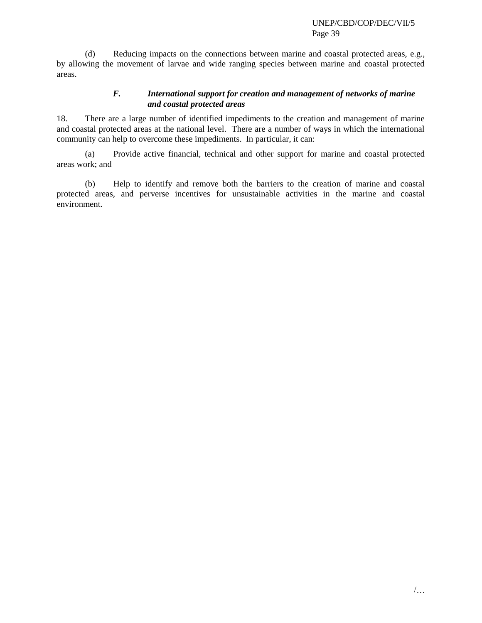(d) Reducing impacts on the connections between marine and coastal protected areas, e.g., by allowing the movement of larvae and wide ranging species between marine and coastal protected areas.

### *F. International support for creation and management of networks of marine and coastal protected areas*

18. There are a large number of identified impediments to the creation and management of marine and coastal protected areas at the national level. There are a number of ways in which the international community can help to overcome these impediments. In particular, it can:

(a) Provide active financial, technical and other support for marine and coastal protected areas work; and

(b) Help to identify and remove both the barriers to the creation of marine and coastal protected areas, and perverse incentives for unsustainable activities in the marine and coastal environment.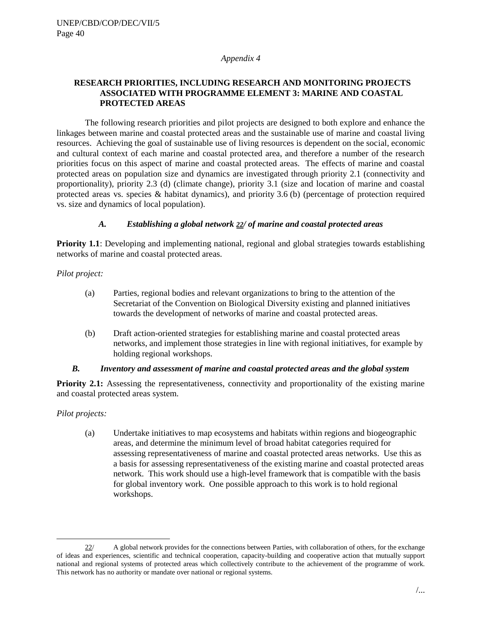#### *Appendix 4*

### **RESEARCH PRIORITIES, INCLUDING RESEARCH AND MONITORING PROJECTS ASSOCIATED WITH PROGRAMME ELEMENT 3: MARINE AND COASTAL PROTECTED AREAS**

The following research priorities and pilot projects are designed to both explore and enhance the linkages between marine and coastal protected areas and the sustainable use of marine and coastal living resources. Achieving the goal of sustainable use of living resources is dependent on the social, economic and cultural context of each marine and coastal protected area, and therefore a number of the research priorities focus on this aspect of marine and coastal protected areas. The effects of marine and coastal protected areas on population size and dynamics are investigated through priority 2.1 (connectivity and proportionality), priority 2.3 (d) (climate change), priority 3.1 (size and location of marine and coastal protected areas vs. species & habitat dynamics), and priority 3.6 (b) (percentage of protection required vs. size and dynamics of local population).

#### *A. Establishing a global network 22/ of marine and coastal protected areas*

**Priority 1.1**: Developing and implementing national, regional and global strategies towards establishing networks of marine and coastal protected areas.

#### *Pilot project:*

- (a) Parties, regional bodies and relevant organizations to bring to the attention of the Secretariat of the Convention on Biological Diversity existing and planned initiatives towards the development of networks of marine and coastal protected areas.
- (b) Draft action-oriented strategies for establishing marine and coastal protected areas networks, and implement those strategies in line with regional initiatives, for example by holding regional workshops.

#### *B. Inventory and assessment of marine and coastal protected areas and the global system*

**Priority 2.1:** Assessing the representativeness, connectivity and proportionality of the existing marine and coastal protected areas system.

### *Pilot projects:*

 $\overline{\phantom{a}}$ 

(a) Undertake initiatives to map ecosystems and habitats within regions and biogeographic areas, and determine the minimum level of broad habitat categories required for assessing representativeness of marine and coastal protected areas networks. Use this as a basis for assessing representativeness of the existing marine and coastal protected areas network. This work should use a high-level framework that is compatible with the basis for global inventory work. One possible approach to this work is to hold regional workshops.

<sup>22/</sup> A global network provides for the connections between Parties, with collaboration of others, for the exchange of ideas and experiences, scientific and technical cooperation, capacity-building and cooperative action that mutually support national and regional systems of protected areas which collectively contribute to the achievement of the programme of work. This network has no authority or mandate over national or regional systems.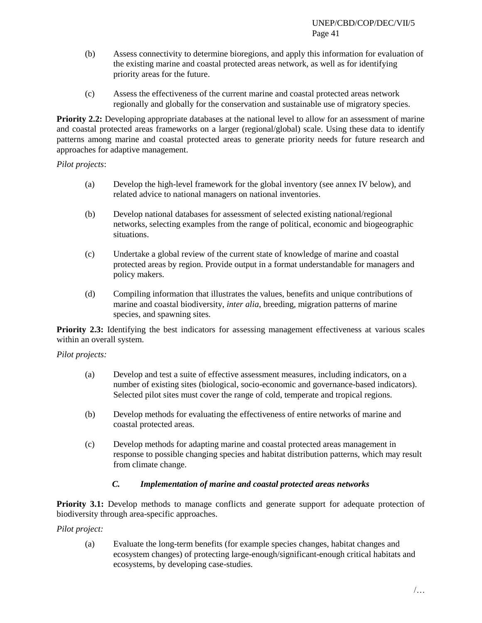- (b) Assess connectivity to determine bioregions, and apply this information for evaluation of the existing marine and coastal protected areas network, as well as for identifying priority areas for the future.
- (c) Assess the effectiveness of the current marine and coastal protected areas network regionally and globally for the conservation and sustainable use of migratory species.

**Priority 2.2:** Developing appropriate databases at the national level to allow for an assessment of marine and coastal protected areas frameworks on a larger (regional/global) scale. Using these data to identify patterns among marine and coastal protected areas to generate priority needs for future research and approaches for adaptive management.

### *Pilot projects*:

- (a) Develop the high-level framework for the global inventory (see annex IV below), and related advice to national managers on national inventories.
- (b) Develop national databases for assessment of selected existing national/regional networks, selecting examples from the range of political, economic and biogeographic situations.
- (c) Undertake a global review of the current state of knowledge of marine and coastal protected areas by region. Provide output in a format understandable for managers and policy makers.
- (d) Compiling information that illustrates the values, benefits and unique contributions of marine and coastal biodiversity, *inter alia*, breeding, migration patterns of marine species, and spawning sites.

**Priority 2.3:** Identifying the best indicators for assessing management effectiveness at various scales within an overall system.

### *Pilot projects:*

- (a) Develop and test a suite of effective assessment measures, including indicators, on a number of existing sites (biological, socio-economic and governance-based indicators). Selected pilot sites must cover the range of cold, temperate and tropical regions.
- (b) Develop methods for evaluating the effectiveness of entire networks of marine and coastal protected areas.
- (c) Develop methods for adapting marine and coastal protected areas management in response to possible changing species and habitat distribution patterns, which may result from climate change.

# *C. Implementation of marine and coastal protected areas networks*

**Priority 3.1:** Develop methods to manage conflicts and generate support for adequate protection of biodiversity through area-specific approaches.

### *Pilot project:*

(a) Evaluate the long-term benefits (for example species changes, habitat changes and ecosystem changes) of protecting large-enough/significant-enough critical habitats and ecosystems, by developing case-studies.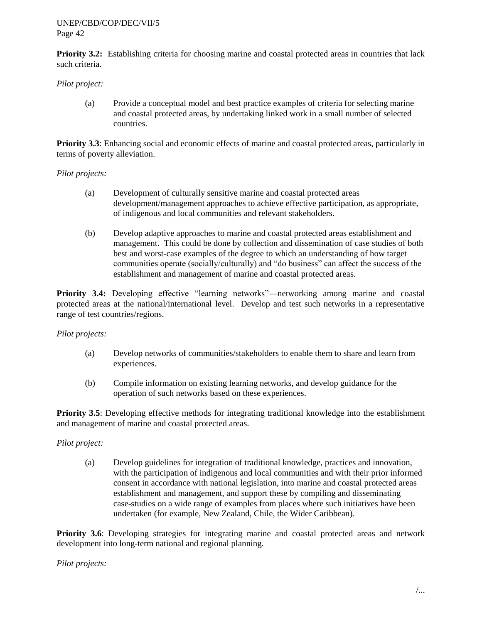**Priority 3.2:** Establishing criteria for choosing marine and coastal protected areas in countries that lack such criteria.

### *Pilot project:*

(a) Provide a conceptual model and best practice examples of criteria for selecting marine and coastal protected areas, by undertaking linked work in a small number of selected countries.

**Priority 3.3**: Enhancing social and economic effects of marine and coastal protected areas, particularly in terms of poverty alleviation.

### *Pilot projects:*

- (a) Development of culturally sensitive marine and coastal protected areas development/management approaches to achieve effective participation, as appropriate, of indigenous and local communities and relevant stakeholders.
- (b) Develop adaptive approaches to marine and coastal protected areas establishment and management. This could be done by collection and dissemination of case studies of both best and worst-case examples of the degree to which an understanding of how target communities operate (socially/culturally) and "do business" can affect the success of the establishment and management of marine and coastal protected areas.

Priority 3.4: Developing effective "learning networks"—networking among marine and coastal protected areas at the national/international level. Develop and test such networks in a representative range of test countries/regions.

### *Pilot projects:*

- (a) Develop networks of communities/stakeholders to enable them to share and learn from experiences.
- (b) Compile information on existing learning networks, and develop guidance for the operation of such networks based on these experiences.

**Priority 3.5**: Developing effective methods for integrating traditional knowledge into the establishment and management of marine and coastal protected areas.

### *Pilot project:*

(a) Develop guidelines for integration of traditional knowledge, practices and innovation, with the participation of indigenous and local communities and with their prior informed consent in accordance with national legislation, into marine and coastal protected areas establishment and management, and support these by compiling and disseminating case-studies on a wide range of examples from places where such initiatives have been undertaken (for example, New Zealand, Chile, the Wider Caribbean).

**Priority 3.6**: Developing strategies for integrating marine and coastal protected areas and network development into long-term national and regional planning.

### *Pilot projects:*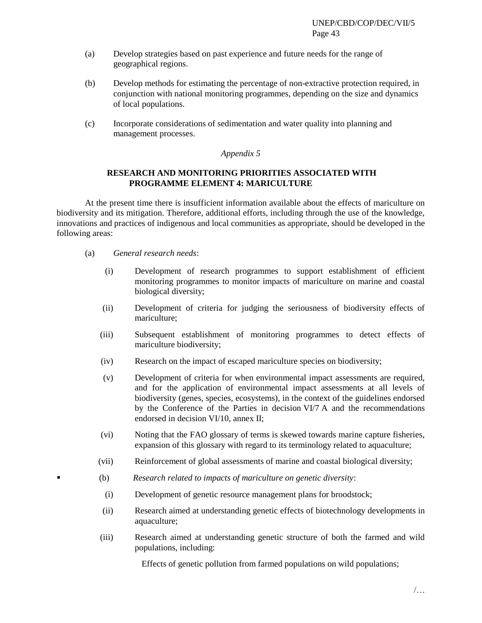- (a) Develop strategies based on past experience and future needs for the range of geographical regions.
- (b) Develop methods for estimating the percentage of non-extractive protection required, in conjunction with national monitoring programmes, depending on the size and dynamics of local populations.
- (c) Incorporate considerations of sedimentation and water quality into planning and management processes.

#### *Appendix 5*

### **RESEARCH AND MONITORING PRIORITIES ASSOCIATED WITH PROGRAMME ELEMENT 4: MARICULTURE**

At the present time there is insufficient information available about the effects of mariculture on biodiversity and its mitigation. Therefore, additional efforts, including through the use of the knowledge, innovations and practices of indigenous and local communities as appropriate, should be developed in the following areas:

- (a) *General research needs*:
	- (i) Development of research programmes to support establishment of efficient monitoring programmes to monitor impacts of mariculture on marine and coastal biological diversity;
	- (ii) Development of criteria for judging the seriousness of biodiversity effects of mariculture;
	- (iii) Subsequent establishment of monitoring programmes to detect effects of mariculture biodiversity;
	- (iv) Research on the impact of escaped mariculture species on biodiversity;
	- (v) Development of criteria for when environmental impact assessments are required, and for the application of environmental impact assessments at all levels of biodiversity (genes, species, ecosystems), in the context of the guidelines endorsed by the Conference of the Parties in decision VI/7 A and the recommendations endorsed in decision VI/10, annex II;
	- (vi) Noting that the FAO glossary of terms is skewed towards marine capture fisheries, expansion of this glossary with regard to its terminology related to aquaculture;
	- (vii) Reinforcement of global assessments of marine and coastal biological diversity;
	- (b) *Research related to impacts of mariculture on genetic diversity*:
		- (i) Development of genetic resource management plans for broodstock;
	- (ii) Research aimed at understanding genetic effects of biotechnology developments in aquaculture;
	- (iii) Research aimed at understanding genetic structure of both the farmed and wild populations, including:

Effects of genetic pollution from farmed populations on wild populations;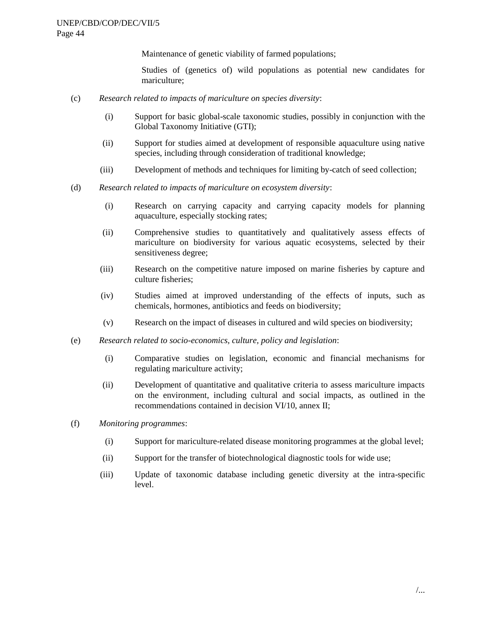Maintenance of genetic viability of farmed populations;

Studies of (genetics of) wild populations as potential new candidates for mariculture;

- (c) *Research related to impacts of mariculture on species diversity*:
	- (i) Support for basic global-scale taxonomic studies, possibly in conjunction with the Global Taxonomy Initiative (GTI);
	- (ii) Support for studies aimed at development of responsible aquaculture using native species, including through consideration of traditional knowledge;
	- (iii) Development of methods and techniques for limiting by-catch of seed collection;
- (d) *Research related to impacts of mariculture on ecosystem diversity*:
	- (i) Research on carrying capacity and carrying capacity models for planning aquaculture, especially stocking rates;
	- (ii) Comprehensive studies to quantitatively and qualitatively assess effects of mariculture on biodiversity for various aquatic ecosystems, selected by their sensitiveness degree;
	- (iii) Research on the competitive nature imposed on marine fisheries by capture and culture fisheries;
	- (iv) Studies aimed at improved understanding of the effects of inputs, such as chemicals, hormones, antibiotics and feeds on biodiversity;
	- (v) Research on the impact of diseases in cultured and wild species on biodiversity;
- (e) *Research related to socio-economics, culture, policy and legislation*:
	- (i) Comparative studies on legislation, economic and financial mechanisms for regulating mariculture activity;
	- (ii) Development of quantitative and qualitative criteria to assess mariculture impacts on the environment, including cultural and social impacts, as outlined in the recommendations contained in decision VI/10, annex II;
- (f) *Monitoring programmes*:
	- (i) Support for mariculture-related disease monitoring programmes at the global level;
	- (ii) Support for the transfer of biotechnological diagnostic tools for wide use;
	- (iii) Update of taxonomic database including genetic diversity at the intra-specific level.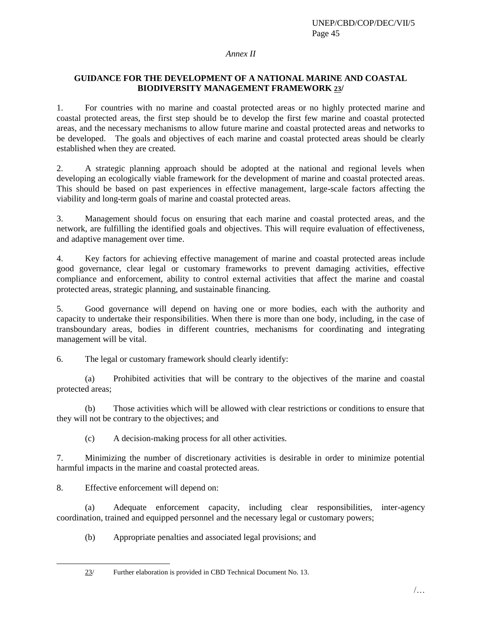### *Annex II*

# **GUIDANCE FOR THE DEVELOPMENT OF A NATIONAL MARINE AND COASTAL BIODIVERSITY MANAGEMENT FRAMEWORK 23/**

1. For countries with no marine and coastal protected areas or no highly protected marine and coastal protected areas, the first step should be to develop the first few marine and coastal protected areas, and the necessary mechanisms to allow future marine and coastal protected areas and networks to be developed. The goals and objectives of each marine and coastal protected areas should be clearly established when they are created.

2. A strategic planning approach should be adopted at the national and regional levels when developing an ecologically viable framework for the development of marine and coastal protected areas. This should be based on past experiences in effective management, large-scale factors affecting the viability and long-term goals of marine and coastal protected areas.

3. Management should focus on ensuring that each marine and coastal protected areas, and the network, are fulfilling the identified goals and objectives. This will require evaluation of effectiveness, and adaptive management over time.

4. Key factors for achieving effective management of marine and coastal protected areas include good governance, clear legal or customary frameworks to prevent damaging activities, effective compliance and enforcement, ability to control external activities that affect the marine and coastal protected areas, strategic planning, and sustainable financing.

5. Good governance will depend on having one or more bodies, each with the authority and capacity to undertake their responsibilities. When there is more than one body, including, in the case of transboundary areas, bodies in different countries, mechanisms for coordinating and integrating management will be vital.

6. The legal or customary framework should clearly identify:

(a) Prohibited activities that will be contrary to the objectives of the marine and coastal protected areas;

(b) Those activities which will be allowed with clear restrictions or conditions to ensure that they will not be contrary to the objectives; and

(c) A decision-making process for all other activities.

7. Minimizing the number of discretionary activities is desirable in order to minimize potential harmful impacts in the marine and coastal protected areas.

8. Effective enforcement will depend on:

l

(a) Adequate enforcement capacity, including clear responsibilities, inter-agency coordination, trained and equipped personnel and the necessary legal or customary powers;

(b) Appropriate penalties and associated legal provisions; and

<sup>23/</sup> Further elaboration is provided in CBD Technical Document No. 13.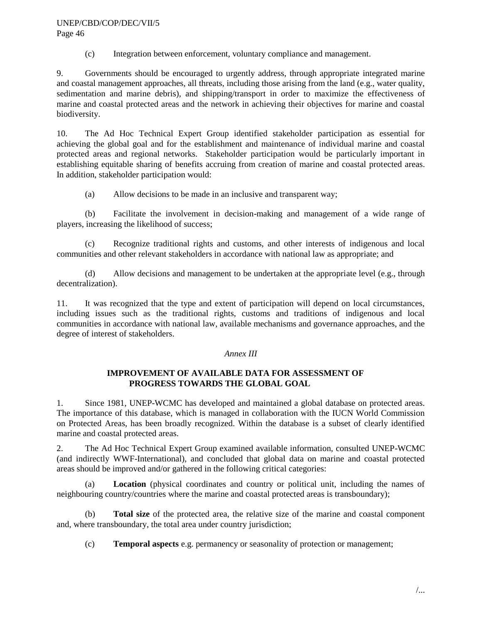(c) Integration between enforcement, voluntary compliance and management.

9. Governments should be encouraged to urgently address, through appropriate integrated marine and coastal management approaches, all threats, including those arising from the land (e.g., water quality, sedimentation and marine debris), and shipping/transport in order to maximize the effectiveness of marine and coastal protected areas and the network in achieving their objectives for marine and coastal biodiversity.

10. The Ad Hoc Technical Expert Group identified stakeholder participation as essential for achieving the global goal and for the establishment and maintenance of individual marine and coastal protected areas and regional networks. Stakeholder participation would be particularly important in establishing equitable sharing of benefits accruing from creation of marine and coastal protected areas. In addition, stakeholder participation would:

(a) Allow decisions to be made in an inclusive and transparent way;

(b) Facilitate the involvement in decision-making and management of a wide range of players, increasing the likelihood of success;

(c) Recognize traditional rights and customs, and other interests of indigenous and local communities and other relevant stakeholders in accordance with national law as appropriate; and

(d) Allow decisions and management to be undertaken at the appropriate level (e.g., through decentralization).

11. It was recognized that the type and extent of participation will depend on local circumstances, including issues such as the traditional rights, customs and traditions of indigenous and local communities in accordance with national law, available mechanisms and governance approaches, and the degree of interest of stakeholders.

### *Annex III*

### **IMPROVEMENT OF AVAILABLE DATA FOR ASSESSMENT OF PROGRESS TOWARDS THE GLOBAL GOAL**

1. Since 1981, UNEP-WCMC has developed and maintained a global database on protected areas. The importance of this database, which is managed in collaboration with the IUCN World Commission on Protected Areas, has been broadly recognized. Within the database is a subset of clearly identified marine and coastal protected areas.

2. The Ad Hoc Technical Expert Group examined available information, consulted UNEP-WCMC (and indirectly WWF-International), and concluded that global data on marine and coastal protected areas should be improved and/or gathered in the following critical categories:

(a) **Location** (physical coordinates and country or political unit, including the names of neighbouring country/countries where the marine and coastal protected areas is transboundary);

(b) **Total size** of the protected area, the relative size of the marine and coastal component and, where transboundary, the total area under country jurisdiction;

(c) **Temporal aspects** e.g. permanency or seasonality of protection or management;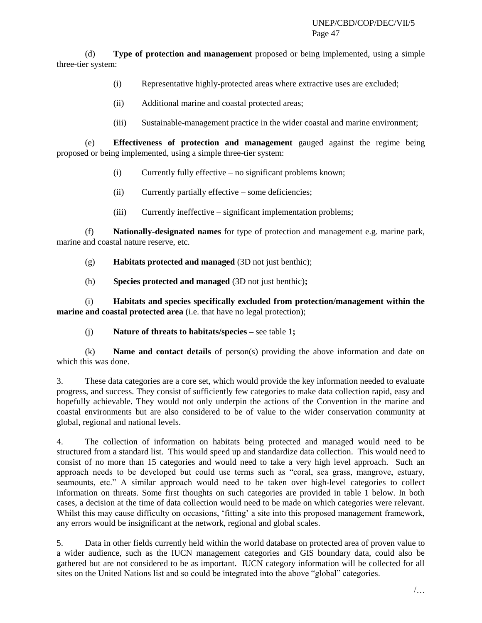(d) **Type of protection and management** proposed or being implemented, using a simple three-tier system:

- (i) Representative highly-protected areas where extractive uses are excluded;
- (ii) Additional marine and coastal protected areas;
- (iii) Sustainable-management practice in the wider coastal and marine environment;

(e) **Effectiveness of protection and management** gauged against the regime being proposed or being implemented, using a simple three-tier system:

- (i) Currently fully effective no significant problems known;
- (ii) Currently partially effective some deficiencies;
- (iii) Currently ineffective significant implementation problems;

(f) **Nationally-designated names** for type of protection and management e.g. marine park, marine and coastal nature reserve, etc.

(g) **Habitats protected and managed** (3D not just benthic);

(h) **Species protected and managed** (3D not just benthic)**;**

(i) **Habitats and species specifically excluded from protection/management within the marine and coastal protected area** (i.e. that have no legal protection);

(j) **Nature of threats to habitats/species –** see table 1**;**

(k) **Name and contact details** of person(s) providing the above information and date on which this was done.

3. These data categories are a core set, which would provide the key information needed to evaluate progress, and success. They consist of sufficiently few categories to make data collection rapid, easy and hopefully achievable. They would not only underpin the actions of the Convention in the marine and coastal environments but are also considered to be of value to the wider conservation community at global, regional and national levels.

4. The collection of information on habitats being protected and managed would need to be structured from a standard list. This would speed up and standardize data collection. This would need to consist of no more than 15 categories and would need to take a very high level approach. Such an approach needs to be developed but could use terms such as "coral, sea grass, mangrove, estuary, seamounts, etc." A similar approach would need to be taken over high-level categories to collect information on threats. Some first thoughts on such categories are provided in table 1 below. In both cases, a decision at the time of data collection would need to be made on which categories were relevant. Whilst this may cause difficulty on occasions, 'fitting' a site into this proposed management framework, any errors would be insignificant at the network, regional and global scales.

5. Data in other fields currently held within the world database on protected area of proven value to a wider audience, such as the IUCN management categories and GIS boundary data, could also be gathered but are not considered to be as important. IUCN category information will be collected for all sites on the United Nations list and so could be integrated into the above "global" categories.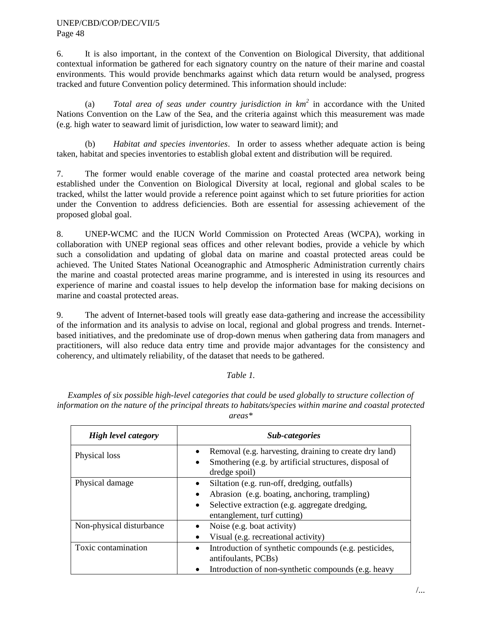6. It is also important, in the context of the Convention on Biological Diversity, that additional contextual information be gathered for each signatory country on the nature of their marine and coastal environments. This would provide benchmarks against which data return would be analysed, progress tracked and future Convention policy determined. This information should include:

(a) *Total area of seas under country jurisdiction in km<sup>2</sup>* in accordance with the United Nations Convention on the Law of the Sea, and the criteria against which this measurement was made (e.g. high water to seaward limit of jurisdiction, low water to seaward limit); and

(b) *Habitat and species inventories*. In order to assess whether adequate action is being taken, habitat and species inventories to establish global extent and distribution will be required.

7. The former would enable coverage of the marine and coastal protected area network being established under the Convention on Biological Diversity at local, regional and global scales to be tracked, whilst the latter would provide a reference point against which to set future priorities for action under the Convention to address deficiencies. Both are essential for assessing achievement of the proposed global goal.

8. UNEP-WCMC and the IUCN World Commission on Protected Areas (WCPA), working in collaboration with UNEP regional seas offices and other relevant bodies, provide a vehicle by which such a consolidation and updating of global data on marine and coastal protected areas could be achieved. The United States National Oceanographic and Atmospheric Administration currently chairs the marine and coastal protected areas marine programme, and is interested in using its resources and experience of marine and coastal issues to help develop the information base for making decisions on marine and coastal protected areas.

9. The advent of Internet-based tools will greatly ease data-gathering and increase the accessibility of the information and its analysis to advise on local, regional and global progress and trends. Internetbased initiatives, and the predominate use of drop-down menus when gathering data from managers and practitioners, will also reduce data entry time and provide major advantages for the consistency and coherency, and ultimately reliability, of the dataset that needs to be gathered.

# *Table 1.*

*Examples of six possible high-level categories that could be used globally to structure collection of information on the nature of the principal threats to habitats/species within marine and coastal protected areas\**

| <b>High level category</b> | Sub-categories                                                                                                                                                                              |
|----------------------------|---------------------------------------------------------------------------------------------------------------------------------------------------------------------------------------------|
| Physical loss              | Removal (e.g. harvesting, draining to create dry land)<br>Smothering (e.g. by artificial structures, disposal of<br>$\bullet$<br>dredge spoil)                                              |
| Physical damage            | Siltation (e.g. run-off, dredging, outfalls)<br>Abrasion (e.g. boating, anchoring, trampling)<br>Selective extraction (e.g. aggregate dredging,<br>$\bullet$<br>entanglement, turf cutting) |
| Non-physical disturbance   | Noise (e.g. boat activity)<br>Visual (e.g. recreational activity)                                                                                                                           |
| Toxic contamination        | Introduction of synthetic compounds (e.g. pesticides,<br>$\bullet$<br>antifoulants, PCBs)<br>Introduction of non-synthetic compounds (e.g. heavy                                            |